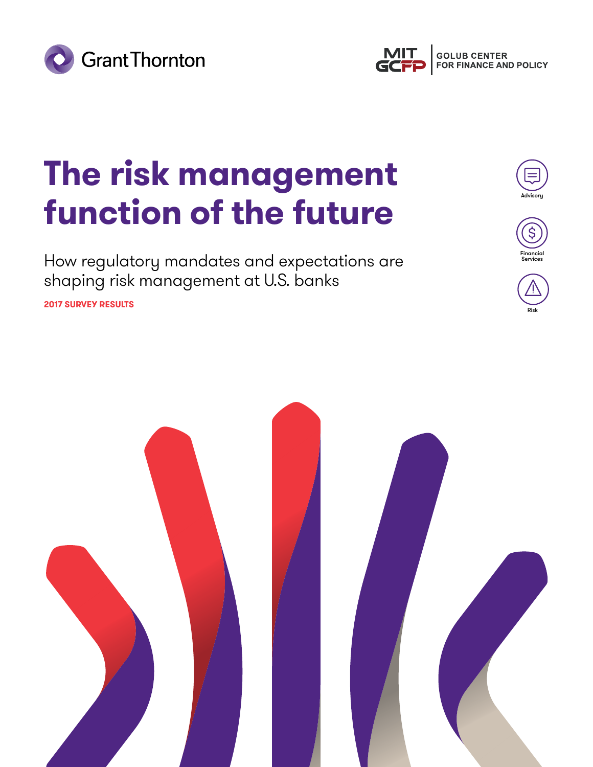



Advisory

Risk

Financial Services

# **The risk management function of the future**

How regulatory mandates and expectations are shaping risk management at U.S. banks

**2017 SURVEY RESULTS**

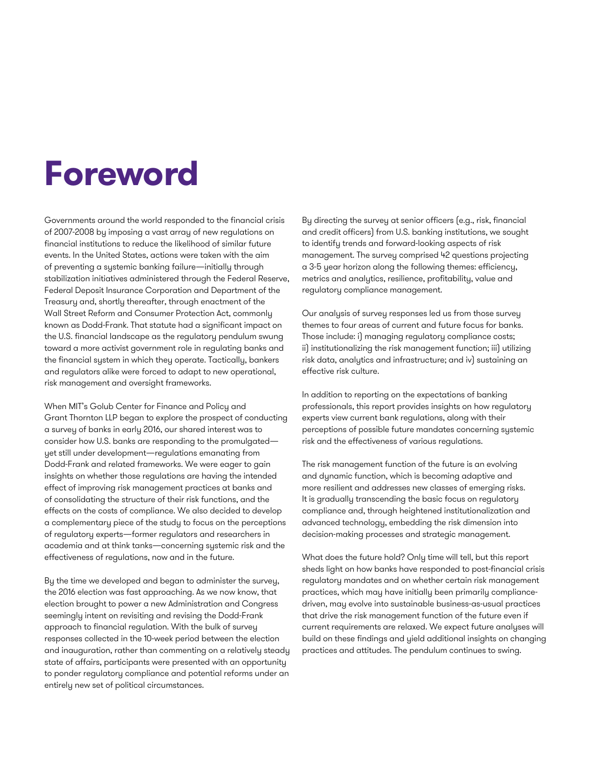# **Foreword**

Governments around the world responded to the financial crisis of 2007-2008 by imposing a vast array of new regulations on financial institutions to reduce the likelihood of similar future events. In the United States, actions were taken with the aim of preventing a systemic banking failure—initially through stabilization initiatives administered through the Federal Reserve, Federal Deposit Insurance Corporation and Department of the Treasury and, shortly thereafter, through enactment of the Wall Street Reform and Consumer Protection Act, commonly known as Dodd-Frank. That statute had a significant impact on the U.S. financial landscape as the regulatory pendulum swung toward a more activist government role in regulating banks and the financial system in which they operate. Tactically, bankers and regulators alike were forced to adapt to new operational, risk management and oversight frameworks.

When MIT's Golub Center for Finance and Policy and Grant Thornton LLP began to explore the prospect of conducting a survey of banks in early 2016, our shared interest was to consider how U.S. banks are responding to the promulgated yet still under development—regulations emanating from Dodd-Frank and related frameworks. We were eager to gain insights on whether those regulations are having the intended effect of improving risk management practices at banks and of consolidating the structure of their risk functions, and the effects on the costs of compliance. We also decided to develop a complementary piece of the study to focus on the perceptions of regulatory experts—former regulators and researchers in academia and at think tanks—concerning systemic risk and the effectiveness of regulations, now and in the future.

By the time we developed and began to administer the survey, the 2016 election was fast approaching. As we now know, that election brought to power a new Administration and Congress seemingly intent on revisiting and revising the Dodd-Frank approach to financial regulation. With the bulk of survey responses collected in the 10-week period between the election and inauguration, rather than commenting on a relatively steady state of affairs, participants were presented with an opportunity to ponder regulatory compliance and potential reforms under an entirely new set of political circumstances.

By directing the survey at senior officers (e.g., risk, financial and credit officers) from U.S. banking institutions, we sought to identify trends and forward-looking aspects of risk management. The survey comprised 42 questions projecting a 3-5 year horizon along the following themes: efficiency, metrics and analytics, resilience, profitability, value and regulatory compliance management.

Our analysis of survey responses led us from those survey themes to four areas of current and future focus for banks. Those include: i) managing regulatory compliance costs; ii) institutionalizing the risk management function; iii) utilizing risk data, analytics and infrastructure; and iv) sustaining an effective risk culture.

In addition to reporting on the expectations of banking professionals, this report provides insights on how regulatory experts view current bank regulations, along with their perceptions of possible future mandates concerning systemic risk and the effectiveness of various regulations.

The risk management function of the future is an evolving and dynamic function, which is becoming adaptive and more resilient and addresses new classes of emerging risks. It is gradually transcending the basic focus on regulatory compliance and, through heightened institutionalization and advanced technology, embedding the risk dimension into decision-making processes and strategic management.

What does the future hold? Only time will tell, but this report sheds light on how banks have responded to post-financial crisis regulatory mandates and on whether certain risk management practices, which may have initially been primarily compliancedriven, may evolve into sustainable business-as-usual practices that drive the risk management function of the future even if current requirements are relaxed. We expect future analyses will build on these findings and yield additional insights on changing practices and attitudes. The pendulum continues to swing.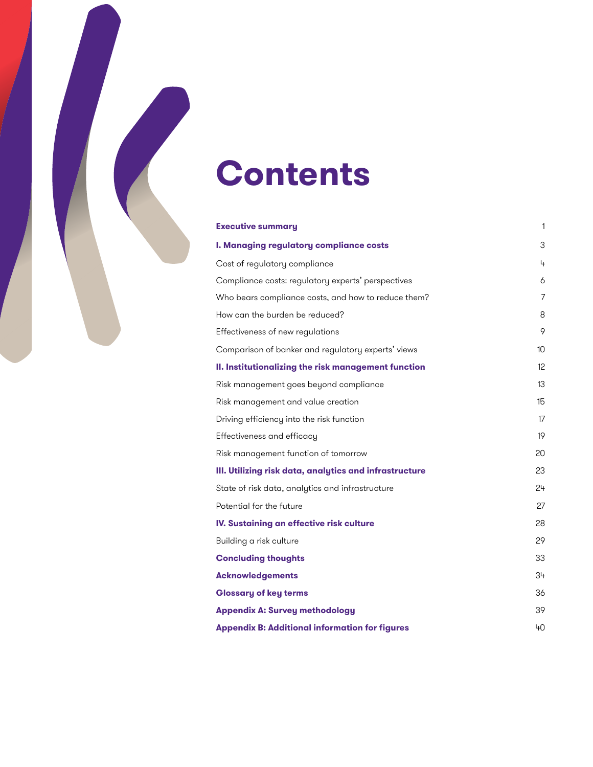

# **Contents**

| <b>Executive summary</b>                               | 1  |
|--------------------------------------------------------|----|
| <b>I. Managing regulatory compliance costs</b>         | 3  |
| Cost of regulatory compliance                          | 4  |
| Compliance costs: regulatory experts' perspectives     | 6  |
| Who bears compliance costs, and how to reduce them?    | 7  |
| How can the burden be reduced?                         | 8  |
| Effectiveness of new regulations                       | 9  |
| Comparison of banker and regulatory experts' views     | 10 |
| II. Institutionalizing the risk management function    | 12 |
| Risk management goes beyond compliance                 | 13 |
| Risk management and value creation                     | 15 |
| Driving efficiency into the risk function              | 17 |
| Effectiveness and efficacy                             | 19 |
| Risk management function of tomorrow                   | 20 |
| III. Utilizing risk data, analytics and infrastructure | 23 |
| State of risk data, analytics and infrastructure       | 24 |
| Potential for the future                               | 27 |
| IV. Sustaining an effective risk culture               | 28 |
| Building a risk culture                                | 29 |
| <b>Concluding thoughts</b>                             | 33 |
| <b>Acknowledgements</b>                                | 34 |
| <b>Glossary of key terms</b>                           | 36 |
| <b>Appendix A: Survey methodology</b>                  | 39 |
| <b>Appendix B: Additional information for figures</b>  | 40 |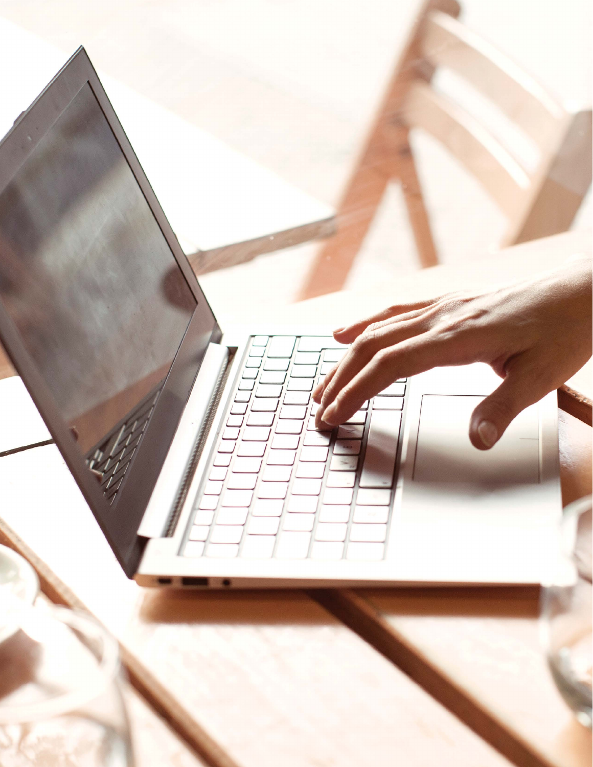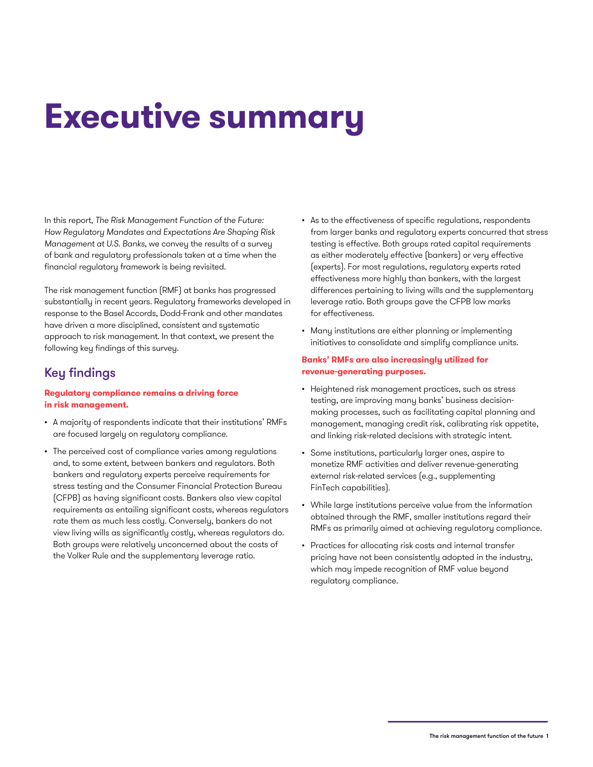# **Executive summary**

In this report, *The Risk Management Function of the Future: How Regulatory Mandates and Expectations Are Shaping Risk Management at U.S. Banks*, we convey the results of a survey of bank and regulatory professionals taken at a time when the financial regulatory framework is being revisited.

The risk management function (RMF) at banks has progressed substantially in recent years. Regulatory frameworks developed in response to the Basel Accords, Dodd-Frank and other mandates have driven a more disciplined, consistent and systematic approach to risk management. In that context, we present the following key findings of this survey.

### Key findings

#### **Regulatory compliance remains a driving force in risk management.**

- A majority of respondents indicate that their institutions' RMFs are focused largely on regulatory compliance.
- The perceived cost of compliance varies among regulations and, to some extent, between bankers and regulators. Both bankers and regulatory experts perceive requirements for stress testing and the Consumer Financial Protection Bureau (CFPB) as having significant costs. Bankers also view capital requirements as entailing significant costs, whereas regulators rate them as much less costly. Conversely, bankers do not view living wills as significantly costly, whereas regulators do. Both groups were relatively unconcerned about the costs of the Volker Rule and the supplementary leverage ratio.
- As to the effectiveness of specific regulations, respondents from larger banks and regulatory experts concurred that stress testing is effective. Both groups rated capital requirements as either moderately effective (bankers) or very effective (experts). For most regulations, regulatory experts rated effectiveness more highly than bankers, with the largest differences pertaining to living wills and the supplementary leverage ratio. Both groups gave the CFPB low marks for effectiveness.
- Many institutions are either planning or implementing initiatives to consolidate and simplify compliance units.

#### **Banks' RMFs are also increasingly utilized for revenue-generating purposes.**

- Heightened risk management practices, such as stress testing, are improving many banks' business decisionmaking processes, such as facilitating capital planning and management, managing credit risk, calibrating risk appetite, and linking risk-related decisions with strategic intent.
- Some institutions, particularly larger ones, aspire to monetize RMF activities and deliver revenue-generating external risk-related services (e.g., supplementing FinTech capabilities).
- While large institutions perceive value from the information obtained through the RMF, smaller institutions regard their RMFs as primarily aimed at achieving regulatory compliance.
- Practices for allocating risk costs and internal transfer pricing have not been consistently adopted in the industry, which may impede recognition of RMF value beyond regulatory compliance.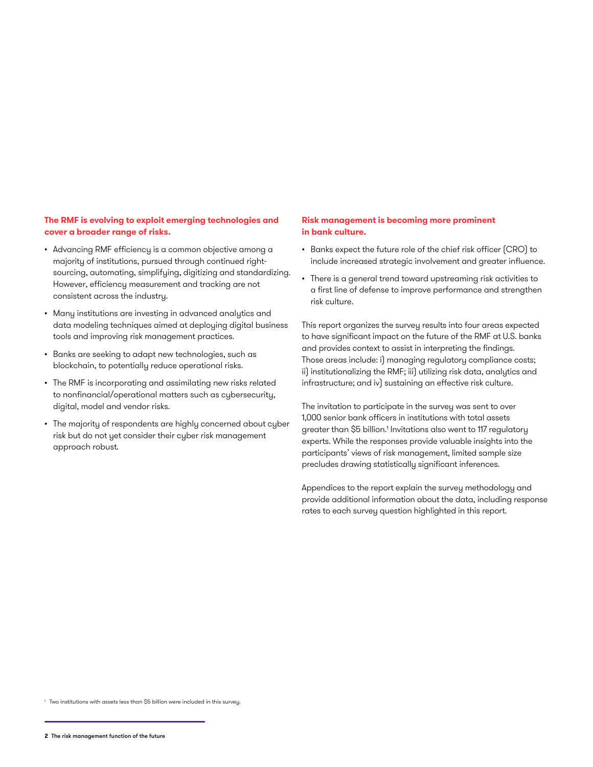#### **The RMF is evolving to exploit emerging technologies and cover a broader range of risks.**

- Advancing RMF efficiency is a common objective among a majority of institutions, pursued through continued rightsourcing, automating, simplifying, digitizing and standardizing. However, efficiency measurement and tracking are not consistent across the industry.
- Many institutions are investing in advanced analytics and data modeling techniques aimed at deploying digital business tools and improving risk management practices.
- Banks are seeking to adapt new technologies, such as blockchain, to potentially reduce operational risks.
- The RMF is incorporating and assimilating new risks related to nonfinancial/operational matters such as cybersecurity, digital, model and vendor risks.
- The majority of respondents are highly concerned about cyber risk but do not yet consider their cyber risk management approach robust.

#### **Risk management is becoming more prominent in bank culture.**

- Banks expect the future role of the chief risk officer (CRO) to include increased strategic involvement and greater influence.
- There is a general trend toward upstreaming risk activities to a first line of defense to improve performance and strengthen risk culture.

This report organizes the survey results into four areas expected to have significant impact on the future of the RMF at U.S. banks and provides context to assist in interpreting the findings. Those areas include: i) managing regulatory compliance costs; ii) institutionalizing the RMF; iii) utilizing risk data, analytics and infrastructure; and iv) sustaining an effective risk culture.

The invitation to participate in the survey was sent to over 1,000 senior bank officers in institutions with total assets greater than \$5 billion.<sup>1</sup> Invitations also went to 117 regulatory experts. While the responses provide valuable insights into the participants' views of risk management, limited sample size precludes drawing statistically significant inferences.

Appendices to the report explain the survey methodology and provide additional information about the data, including response rates to each survey question highlighted in this report.

<sup>&</sup>lt;sup>1</sup> Two institutions with assets less than \$5 billion were included in this survey.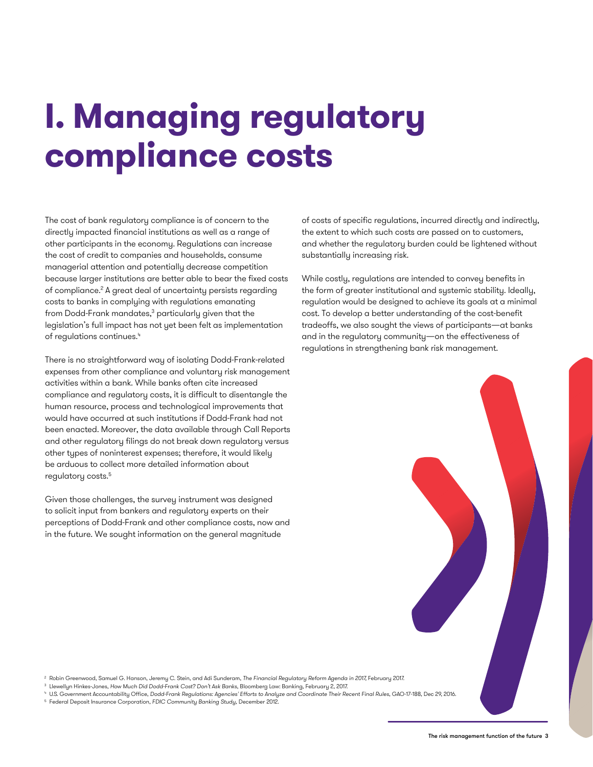# **I. Managing regulatory compliance costs**

The cost of bank regulatory compliance is of concern to the directly impacted financial institutions as well as a range of other participants in the economy. Regulations can increase the cost of credit to companies and households, consume managerial attention and potentially decrease competition because larger institutions are better able to bear the fixed costs of compliance.<sup>2</sup> A great deal of uncertainty persists regarding costs to banks in complying with regulations emanating from Dodd-Frank mandates, $^3$  particularly given that the  $\,$ legislation's full impact has not yet been felt as implementation of regulations continues.<sup>4</sup>

There is no straightforward way of isolating Dodd-Frank-related expenses from other compliance and voluntary risk management activities within a bank. While banks often cite increased compliance and regulatory costs, it is difficult to disentangle the human resource, process and technological improvements that would have occurred at such institutions if Dodd-Frank had not been enacted. Moreover, the data available through Call Reports and other regulatory filings do not break down regulatory versus other types of noninterest expenses; therefore, it would likely be arduous to collect more detailed information about regulatory costs.<sup>5</sup>

Given those challenges, the survey instrument was designed to solicit input from bankers and regulatory experts on their perceptions of Dodd-Frank and other compliance costs, now and in the future. We sought information on the general magnitude

of costs of specific regulations, incurred directly and indirectly, the extent to which such costs are passed on to customers, and whether the regulatory burden could be lightened without substantially increasing risk.

While costly, regulations are intended to convey benefits in the form of greater institutional and systemic stability. Ideally, regulation would be designed to achieve its goals at a minimal cost. To develop a better understanding of the cost-benefit tradeoffs, we also sought the views of participants—at banks and in the regulatory community—on the effectiveness of regulations in strengthening bank risk management.



- <sup>2</sup> Robin Greenwood, Samuel G. Hanson, Jeremy C. Stein, and Adi Sunderam, *The Financial Regulatory Reform Agenda in 2017,* February 2017.
- <sup>3</sup> Llewellyn Hinkes-Jones, *How Much Did Dodd-Frank Cost? Don't Ask Banks*, Bloomberg Law: Banking, February 2, 2017.
- <sup>4</sup> U.S. Government Accountability Office, *Dodd-Frank Regulations: Agencies' Efforts to Analyze and Coordinate Their Recent Final Rules*, GAO-17-188, Dec 29, 2016.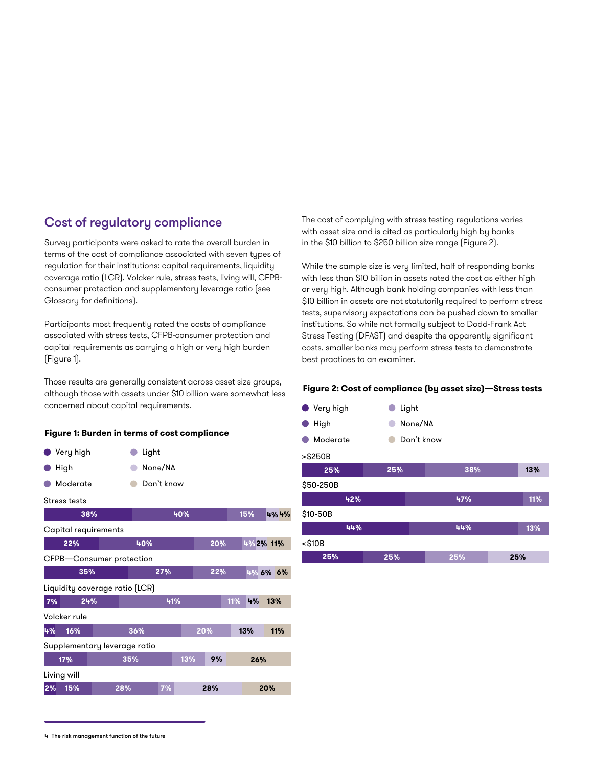## Cost of regulatory compliance

Survey participants were asked to rate the overall burden in terms of the cost of compliance associated with seven types of regulation for their institutions: capital requirements, liquidity coverage ratio (LCR), Volcker rule, stress tests, living will, CFPBconsumer protection and supplementary leverage ratio (see Glossary for definitions).

Participants most frequently rated the costs of compliance associated with stress tests, CFPB-consumer protection and capital requirements as carrying a high or very high burden (Figure 1).

Those results are generally consistent across asset size groups, although those with assets under \$10 billion were somewhat less concerned about capital requirements.

#### **Figure 1: Burden in terms of cost compliance**

|    | Very high    |                                | Light |            |     |     |     |          |          |       |
|----|--------------|--------------------------------|-------|------------|-----|-----|-----|----------|----------|-------|
|    | High         |                                |       | None/NA    |     |     |     |          |          |       |
|    | Moderate     |                                |       | Don't know |     |     |     |          |          |       |
|    | Stress tests |                                |       |            |     |     |     |          |          |       |
|    | 38%          |                                |       |            | 40% |     |     | 15%      |          | 4% 4% |
|    |              | Capital requirements           |       |            |     |     |     |          |          |       |
|    | 22%          |                                | 40%   |            |     | 20% |     | 4%2% 11% |          |       |
|    |              | CFPB-Consumer protection       |       |            |     |     |     |          |          |       |
|    | 35%          |                                |       | 27%        |     | 22% |     |          | 4% 6% 6% |       |
|    |              | Liquidity coverage ratio (LCR) |       |            |     |     |     |          |          |       |
| 7% | 24%          |                                |       | 41%        |     |     | 11% | 4%       | 13%      |       |
|    | Volcker rule |                                |       |            |     |     |     |          |          |       |
| 4% | 16%          |                                | 36%   |            |     | 20% |     | 13%      |          | 11%   |
|    |              | Supplementary leverage ratio   |       |            |     |     |     |          |          |       |
|    | 17%          |                                | 35%   |            | 13% | 9%  |     | 26%      |          |       |
|    | Living will  |                                |       |            |     |     |     |          |          |       |
| 2% | 15%          | 28%                            |       | 7%         |     | 28% |     |          | 20%      |       |

The cost of complying with stress testing regulations varies with asset size and is cited as particularly high by banks in the \$10 billion to \$250 billion size range (Figure 2).

While the sample size is very limited, half of responding banks with less than \$10 billion in assets rated the cost as either high or very high. Although bank holding companies with less than \$10 billion in assets are not statutorily required to perform stress tests, supervisory expectations can be pushed down to smaller institutions. So while not formally subject to Dodd-Frank Act Stress Testing (DFAST) and despite the apparently significant costs, smaller banks may perform stress tests to demonstrate best practices to an examiner.

#### **Figure 2: Cost of compliance (by asset size)—Stress tests**

| Very high<br>$\bullet$ | Light |            |     |  |  |  |  |
|------------------------|-------|------------|-----|--|--|--|--|
| High<br>O              |       | None/NA    |     |  |  |  |  |
| Moderate               |       | Don't know |     |  |  |  |  |
| >\$250B                |       |            |     |  |  |  |  |
| 25%                    | 25%   | 38%        | 13% |  |  |  |  |
| \$50-250B              |       |            |     |  |  |  |  |
| 42%                    |       | 47%        | 11% |  |  |  |  |
| \$10-50B               |       |            |     |  |  |  |  |
| 44%                    |       | 44%        | 13% |  |  |  |  |
| $<$ \$10B              |       |            |     |  |  |  |  |
| 25%                    | 25%   | 25%        | 25% |  |  |  |  |

**<sup>4</sup>** The risk management function of the future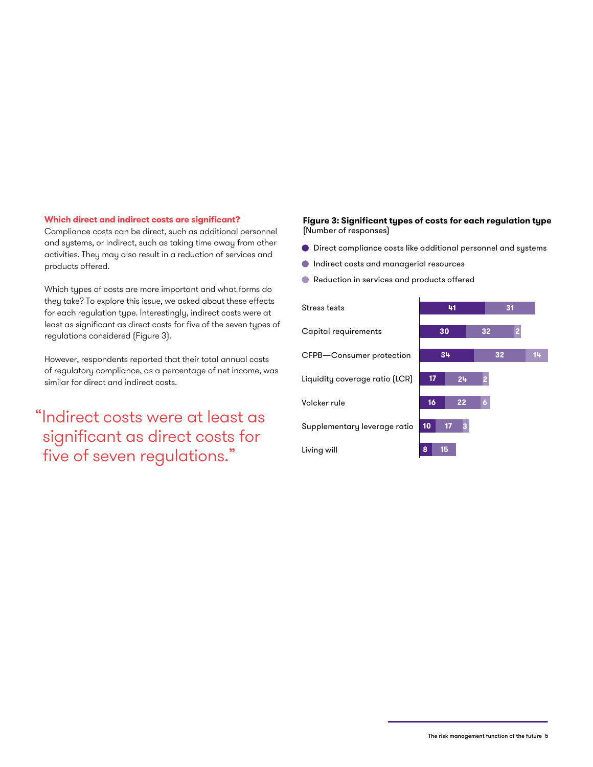#### **Which direct and indirect costs are significant?**

Compliance costs can be direct, such as additional personnel and systems, or indirect, such as taking time away from other activities. They may also result in a reduction of services and products offered.

Which types of costs are more important and what forms do they take? To explore this issue, we asked about these effects for each regulation type. Interestingly, indirect costs were at least as significant as direct costs for five of the seven types of regulations considered (Figure 3).

However, respondents reported that their total annual costs of regulatory compliance, as a percentage of net income, was similar for direct and indirect costs.

"Indirect costs were at least as significant as direct costs for five of seven regulations."

#### **Figure 3: Significant types of costs for each regulation type** (Number of responses)

- **O** Direct compliance costs like additional personnel and systems
- **Indirect costs and managerial resources**
- Reduction in services and products offered

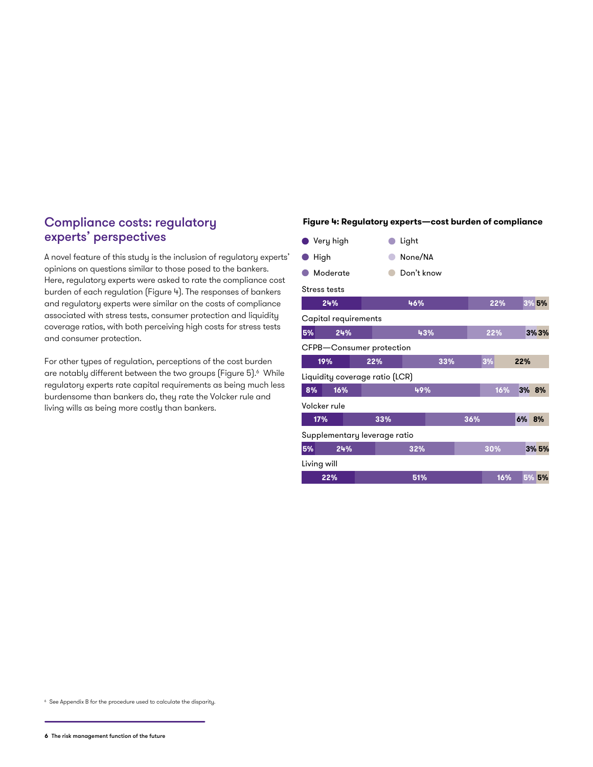### Compliance costs: regulatory experts' perspectives

A novel feature of this study is the inclusion of regulatory experts' opinions on questions similar to those posed to the bankers. Here, regulatory experts were asked to rate the compliance cost burden of each regulation (Figure 4). The responses of bankers and regulatory experts were similar on the costs of compliance associated with stress tests, consumer protection and liquidity coverage ratios, with both perceiving high costs for stress tests and consumer protection.

For other types of regulation, perceptions of the cost burden are notably different between the two groups (Figure 5).6 While regulatory experts rate capital requirements as being much less burdensome than bankers do, they rate the Volcker rule and living wills as being more costly than bankers.

#### **Figure 4: Regulatory experts—cost burden of compliance**

| Very high | Light |
|-----------|-------|
|           |       |

- None/NA
- **Moderate**

 $\bullet$  High

|              | Moderate             |                                | Don't know |     |     |          |
|--------------|----------------------|--------------------------------|------------|-----|-----|----------|
| Stress tests |                      |                                |            |     |     |          |
|              | 24%                  |                                | 46%        |     | 22% | 3% 5%    |
|              | Capital requirements |                                |            |     |     |          |
| 5%           | 24%                  |                                | 43%        |     | 22% | 3%3%     |
|              |                      | CFPB-Consumer protection       |            |     |     |          |
|              | 19%                  | 22%                            | 33%        |     | 3%  | 22%      |
|              |                      | Liquidity coverage ratio (LCR) |            |     |     |          |
| 8%           | 16%                  |                                | 49%        |     | 16% | 3%<br>8% |
| Volcker rule |                      |                                |            |     |     |          |
| 17%          |                      | 33%                            |            | 36% |     | 6%<br>8% |
|              |                      | Supplementary leverage ratio   |            |     |     |          |
| 5%           | 24%                  |                                | 32%        |     | 30% | 3% 5%    |
| Living will  |                      |                                |            |     |     |          |
|              | 22%                  |                                | 51%        |     | 16% | 5% 5%    |

<sup>6</sup> See Appendix B for the procedure used to calculate the disparity.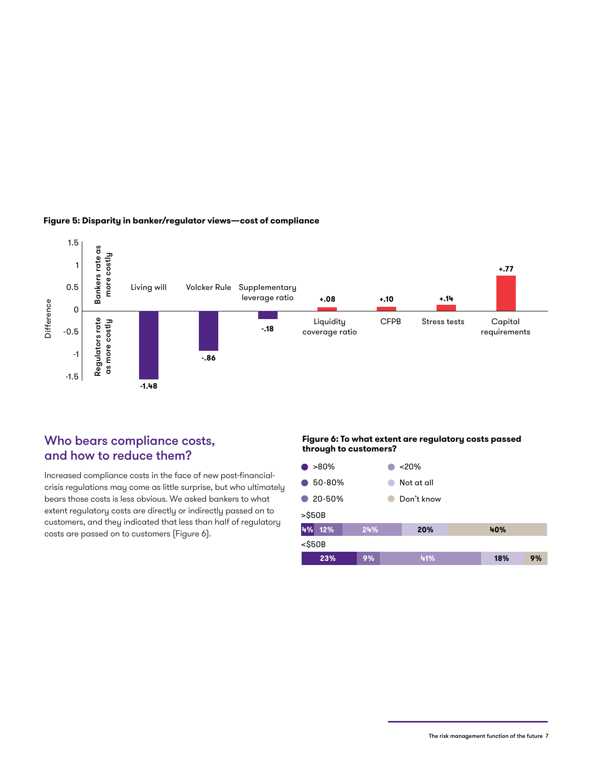

#### **Figure 5: Disparity in banker/regulator views—cost of compliance**

### Who bears compliance costs, and how to reduce them?

Increased compliance costs in the face of new post-financialcrisis regulations may come as little surprise, but who ultimately bears those costs is less obvious. We asked bankers to what extent regulatory costs are directly or indirectly passed on to customers, and they indicated that less than half of regulatory costs are passed on to customers (Figure 6).

#### **Figure 6: To what extent are regulatory costs passed through to customers?**

| $\bullet$ >80% |     | < 20%      |  |     |    |  |
|----------------|-----|------------|--|-----|----|--|
| 50-80%         |     | Not at all |  |     |    |  |
| ● 20-50%       |     | Don't know |  |     |    |  |
| $>$ \$50B      |     |            |  |     |    |  |
| 4%<br>12%      | 24% | 20%        |  | 40% |    |  |
| $<$ \$50B      |     |            |  |     |    |  |
| 23%            | 9%  | 41%        |  | 18% | 9% |  |
|                |     |            |  |     |    |  |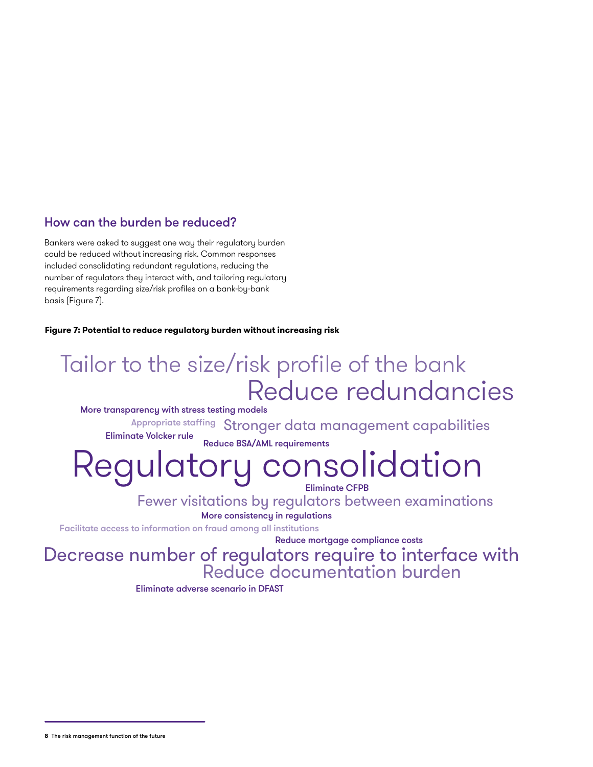### How can the burden be reduced?

Bankers were asked to suggest one way their regulatory burden could be reduced without increasing risk. Common responses included consolidating redundant regulations, reducing the number of regulators they interact with, and tailoring regulatory requirements regarding size/risk profiles on a bank-by-bank basis (Figure 7).

#### **Figure 7: Potential to reduce regulatory burden without increasing risk**

# Tailor to the size/risk profile of the bank Reduce redundancies

More transparency with stress testing models

Appropriate staffing Stronger data management capabilities

Eliminate Volcker rule Reduce BSA/AML requirements

# Regulatory consolidation Eliminate CFPB

Fewer visitations by regulators between examinations

More consistency in regulations

Facilitate access to information on fraud among all institutions

Reduce mortgage compliance costs Decrease number of regulators require to interface with Reduce documentation burden

Eliminate adverse scenario in DFAST

**<sup>8</sup>** The risk management function of the future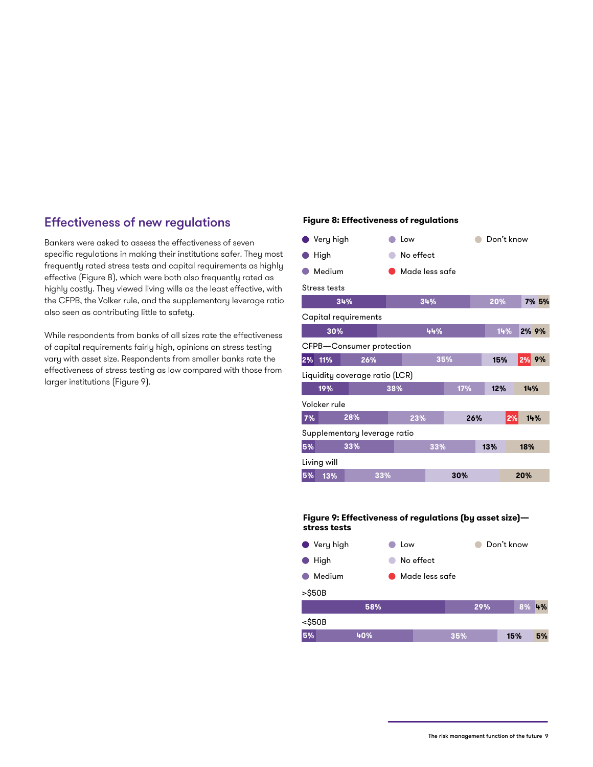## Effectiveness of new regulations

Bankers were asked to assess the effectiveness of seven specific regulations in making their institutions safer. They most frequently rated stress tests and capital requirements as highly effective (Figure 8), which were both also frequently rated as highly costly. They viewed living wills as the least effective, with the CFPB, the Volker rule, and the supplementary leverage ratio also seen as contributing little to safety.

While respondents from banks of all sizes rate the effectiveness of capital requirements fairly high, opinions on stress testing vary with asset size. Respondents from smaller banks rate the effectiveness of stress testing as low compared with those from larger institutions (Figure 9).

#### **Figure 8: Effectiveness of regulations**

| Very high            |                                | Low |                |     |     |     | Don't know |     |     |       |
|----------------------|--------------------------------|-----|----------------|-----|-----|-----|------------|-----|-----|-------|
| High                 |                                |     | No effect      |     |     |     |            |     |     |       |
| Medium               |                                |     | Made less safe |     |     |     |            |     |     |       |
| Stress tests         |                                |     |                |     |     |     |            |     |     |       |
|                      | 34%                            |     |                | 34% |     |     | 20%        |     |     | 7% 5% |
| Capital requirements |                                |     |                |     |     |     |            |     |     |       |
| 30%                  |                                |     |                | 44% |     |     |            | 14% |     | 2% 9% |
|                      | CFPB-Consumer protection       |     |                |     |     |     |            |     |     |       |
| 2%<br>11%            | 26%                            |     |                |     | 35% |     | 15%        |     | 2%  | 9%    |
|                      | Liquidity coverage ratio (LCR) |     |                |     |     |     |            |     |     |       |
| 19%                  |                                | 38% |                |     | 17% |     | 12%        |     | 14% |       |
| Volcker rule         |                                |     |                |     |     |     |            |     |     |       |
| 7%                   | 28%                            |     | 23%            |     |     | 26% |            | 2%  |     | 14%   |
|                      | Supplementary leverage ratio   |     |                |     |     |     |            |     |     |       |
| 5%                   | 33%                            |     |                | 33% |     |     | 13%        |     | 18% |       |
| Living will          |                                |     |                |     |     |     |            |     |     |       |
| 5%<br>13%            | 33%                            |     |                |     | 30% |     |            |     | 20% |       |

#### **Figure 9: Effectiveness of regulations (by asset size) stress tests**

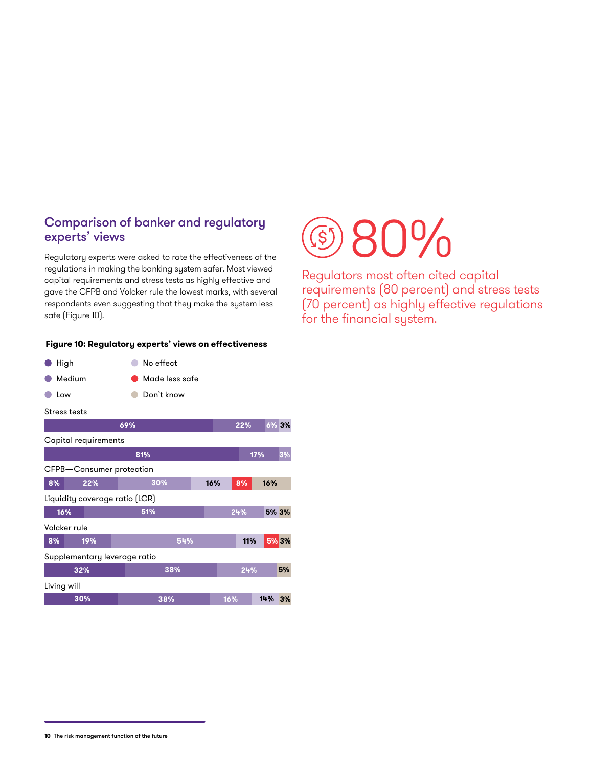### Comparison of banker and regulatory experts' views

Regulatory experts were asked to rate the effectiveness of the regulations in making the banking system safer. Most viewed capital requirements and stress tests as highly effective and gave the CFPB and Volcker rule the lowest marks, with several respondents even suggesting that they make the system less safe (Figure 10).

#### **Figure 10: Regulatory experts' views on effectiveness**

| $\bullet$ High | ● No effect               |
|----------------|---------------------------|
| <b>Medium</b>  | • Made less safe          |
| $\Box$ low     | $\blacksquare$ Don't know |

● Don't know

#### Stress tests

|              |                      | 69%                            |     | 22% |     | 6% 3% |
|--------------|----------------------|--------------------------------|-----|-----|-----|-------|
|              | Capital requirements |                                |     |     |     |       |
|              |                      | 81%                            |     |     | 17% | 3%    |
|              |                      | CFPB-Consumer protection       |     |     |     |       |
| 8%           | 22%                  | 30%                            | 16% | 8%  | 16% |       |
|              |                      | Liquidity coverage ratio (LCR) |     |     |     |       |
| 16%          |                      | 51%                            |     | 24% |     | 5% 3% |
| Volcker rule |                      |                                |     |     |     |       |
| 8%           | 19%                  | 54%                            |     |     | 11% | 5% 3% |
|              |                      | Supplementary leverage ratio   |     |     |     |       |
|              | 32%                  | 38%                            |     |     | 24% | 5%    |
| Living will  |                      |                                |     |     |     |       |
|              | 30%                  | 38%                            |     | 16% | 14% | 3%    |

# 30%

Regulators most often cited capital requirements (80 percent) and stress tests (70 percent) as highly effective regulations for the financial system.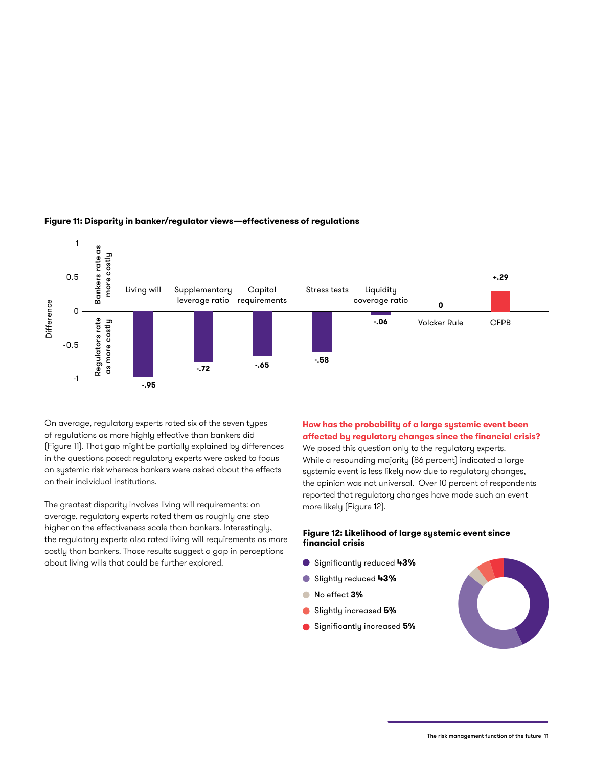

#### **Figure 11: Disparity in banker/regulator views—effectiveness of regulations**

On average, regulatory experts rated six of the seven types of regulations as more highly effective than bankers did (Figure 11). That gap might be partially explained by differences in the questions posed: regulatory experts were asked to focus on systemic risk whereas bankers were asked about the effects on their individual institutions.

The greatest disparity involves living will requirements: on average, regulatory experts rated them as roughly one step higher on the effectiveness scale than bankers. Interestingly, the regulatory experts also rated living will requirements as more costly than bankers. Those results suggest a gap in perceptions about living wills that could be further explored.

### **How has the probability of a large systemic event been affected by regulatory changes since the financial crisis?**

We posed this question only to the regulatory experts. While a resounding majority (86 percent) indicated a large systemic event is less likely now due to regulatory changes, the opinion was not universal. Over 10 percent of respondents reported that regulatory changes have made such an event more likely (Figure 12).

#### **Figure 12: Likelihood of large systemic event since financial crisis**

- Significantly reduced **43%**
- Slightly reduced **43%**
- No effect **3%**
- Slightly increased **5%**
- Significantly increased **5%**

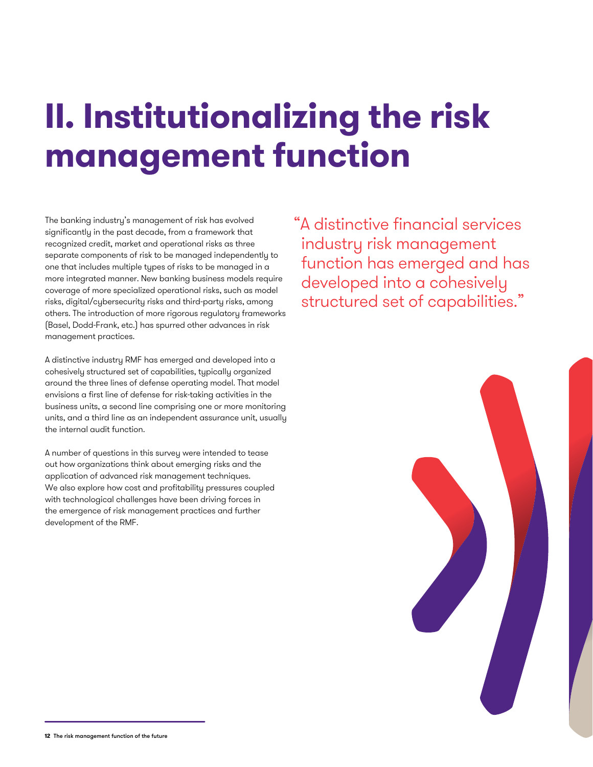# **II. Institutionalizing the risk management function**

The banking industry's management of risk has evolved significantly in the past decade, from a framework that recognized credit, market and operational risks as three separate components of risk to be managed independently to one that includes multiple types of risks to be managed in a more integrated manner. New banking business models require coverage of more specialized operational risks, such as model risks, digital/cybersecurity risks and third-party risks, among others. The introduction of more rigorous regulatory frameworks (Basel, Dodd-Frank, etc.) has spurred other advances in risk management practices.

A distinctive industry RMF has emerged and developed into a cohesively structured set of capabilities, typically organized around the three lines of defense operating model. That model envisions a first line of defense for risk-taking activities in the business units, a second line comprising one or more monitoring units, and a third line as an independent assurance unit, usually the internal audit function.

A number of questions in this survey were intended to tease out how organizations think about emerging risks and the application of advanced risk management techniques. We also explore how cost and profitability pressures coupled with technological challenges have been driving forces in the emergence of risk management practices and further development of the RMF.

"A distinctive financial services industry risk management function has emerged and has developed into a cohesively structured set of capabilities."

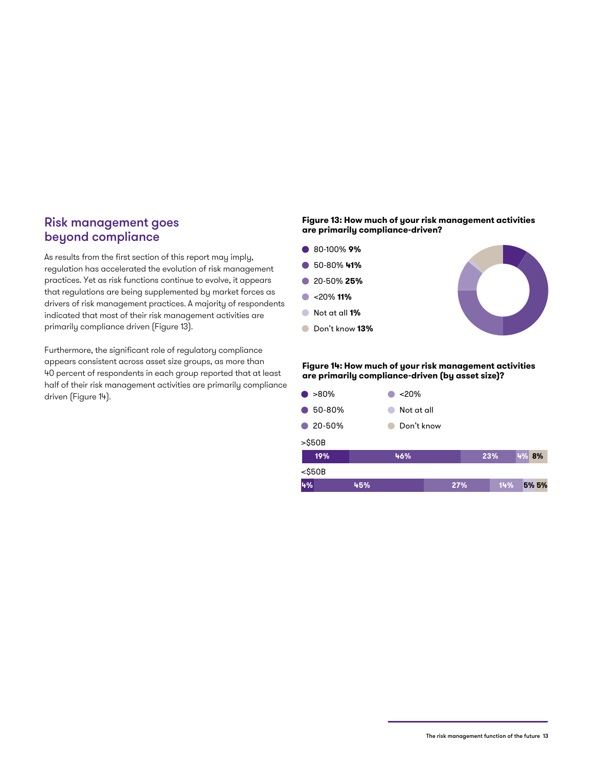### Risk management goes beyond compliance

As results from the first section of this report may imply, regulation has accelerated the evolution of risk management practices. Yet as risk functions continue to evolve, it appears that regulations are being supplemented by market forces as drivers of risk management practices. A majority of respondents indicated that most of their risk management activities are primarily compliance driven (Figure 13).

Furthermore, the significant role of regulatory compliance appears consistent across asset size groups, as more than 40 percent of respondents in each group reported that at least half of their risk management activities are primarily compliance driven (Figure 14).

#### **Figure 13: How much of your risk management activities are primarily compliance-driven?**

- 
- 50-80% **41%**
- 20-50% **25%**
- <20% **11%**
- Not at all **1%**
- Don't know **13%**



#### **Figure 14: How much of your risk management activities are primarily compliance-driven (by asset size)?**

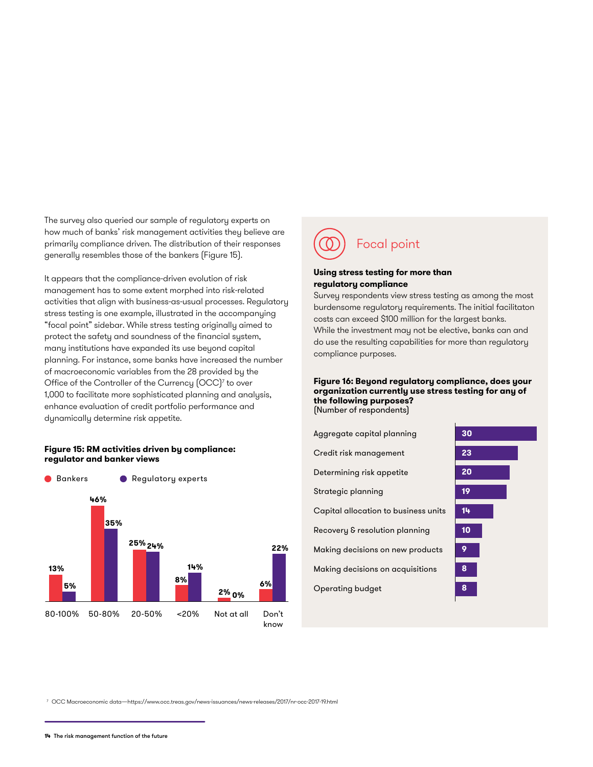The survey also queried our sample of regulatory experts on how much of banks' risk management activities they believe are primarily compliance driven. The distribution of their responses generally resembles those of the bankers (Figure 15).

It appears that the compliance-driven evolution of risk management has to some extent morphed into risk-related activities that align with business-as-usual processes. Regulatory stress testing is one example, illustrated in the accompanying "focal point" sidebar. While stress testing originally aimed to protect the safety and soundness of the financial system, many institutions have expanded its use beyond capital planning. For instance, some banks have increased the number of macroeconomic variables from the 28 provided by the Office of the Controller of the Currency  $[OCC]^7$  to over 1,000 to facilitate more sophisticated planning and analysis, enhance evaluation of credit portfolio performance and dynamically determine risk appetite.

#### **Figure 15: RM activities driven by compliance: regulator and banker views**





#### **Using stress testing for more than regulatory compliance**

Survey respondents view stress testing as among the most burdensome regulatory requirements. The initial facilitaton costs can exceed \$100 million for the largest banks. While the investment may not be elective, banks can and do use the resulting capabilities for more than regulatory compliance purposes.

#### **Figure 16: Beyond regulatory compliance, does your organization currently use stress testing for any of the following purposes?** (Number of respondents)

| Aggregate capital planning           | 30 |
|--------------------------------------|----|
| Credit risk management               | 23 |
| Determining risk appetite            | 20 |
| Strategic planning                   | 19 |
| Capital allocation to business units | 14 |
| Recovery & resolution planning       | 10 |
| Making decisions on new products     | 9  |
| Making decisions on acquisitions     | 8  |
| Operating budget                     | 8  |

<sup>7</sup> OCC Macroeconomic data—https://www.occ.treas.gov/news-issuances/news-releases/2017/nr-occ-2017-19.html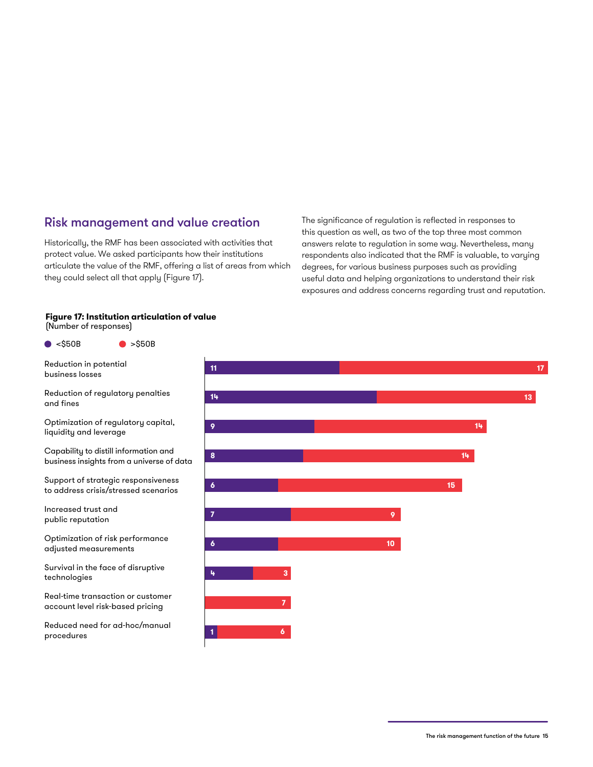### Risk management and value creation

Historically, the RMF has been associated with activities that protect value. We asked participants how their institutions articulate the value of the RMF, offering a list of areas from which they could select all that apply (Figure 17).

The significance of regulation is reflected in responses to this question as well, as two of the top three most common answers relate to regulation in some way. Nevertheless, many respondents also indicated that the RMF is valuable, to varying degrees, for various business purposes such as providing useful data and helping organizations to understand their risk exposures and address concerns regarding trust and reputation.

### **Figure 17: Institution articulation of value**

(Number of responses)

- $\bullet$  <\$50B  $\bullet$  >\$50B
- Reduction in potential business losses
- Reduction of regulatory penalties and fines
- Optimization of regulatory capital, liquidity and leverage
- Capability to distill information and business insights from a universe of data
- Support of strategic responsiveness to address crisis/stressed scenarios
- Increased trust and public reputation
- Optimization of risk performance adjusted measurements
- Survival in the face of disruptive technologies
- Real-time transaction or customer account level risk-based pricing
- Reduced need for ad-hoc/manual procedures

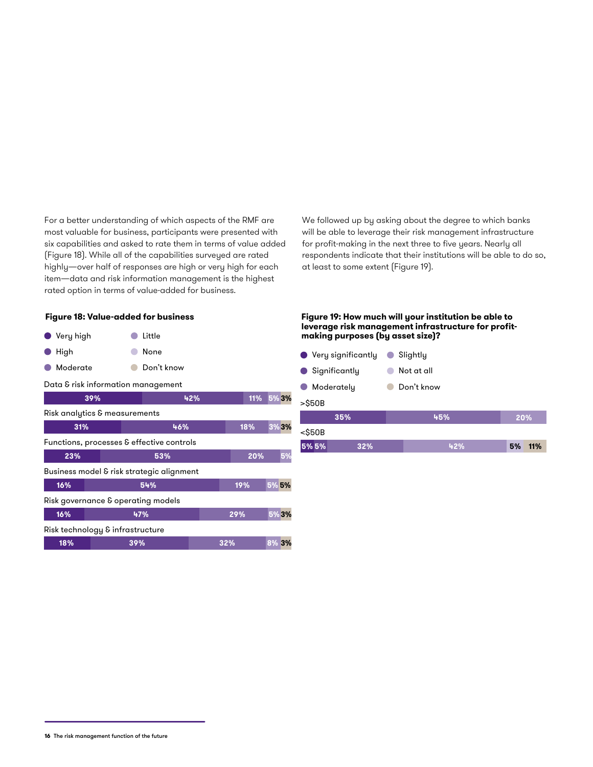For a better understanding of which aspects of the RMF are most valuable for business, participants were presented with six capabilities and asked to rate them in terms of value added (Figure 18). While all of the capabilities surveyed are rated highly—over half of responses are high or very high for each item—data and risk information management is the highest rated option in terms of value-added for business.

We followed up by asking about the degree to which banks will be able to leverage their risk management infrastructure for profit-making in the next three to five years. Nearly all respondents indicate that their institutions will be able to do so, at least to some extent (Figure 19).

#### **Figure 18: Value-added for business**

| Very high |                                           | Little     |     |     |       |       |  |  |  |
|-----------|-------------------------------------------|------------|-----|-----|-------|-------|--|--|--|
| High      |                                           | None       |     |     |       |       |  |  |  |
| Moderate  |                                           | Don't know |     |     |       |       |  |  |  |
|           | Data & risk information management        |            |     |     |       |       |  |  |  |
|           | 39%                                       |            | 42% | 11% |       | 5% 3% |  |  |  |
|           | Risk analytics & measurements             |            |     |     |       |       |  |  |  |
| 31%       |                                           | 46%        |     | 18% |       | 3% 3% |  |  |  |
|           | Functions, processes & effective controls |            |     |     |       |       |  |  |  |
| 23%       |                                           | 53%        |     | 20% |       | 5%    |  |  |  |
|           | Business model & risk strategic alignment |            |     |     |       |       |  |  |  |
| 16%       |                                           | 54%        |     | 19% | 5% 5% |       |  |  |  |
|           | Risk governance & operating models        |            |     |     |       |       |  |  |  |
| 16%       |                                           | 47%        |     | 29% |       | 5% 3% |  |  |  |
|           | Risk technology & infrastructure          |            |     |     |       |       |  |  |  |
| 18%       | 39%                                       |            |     | 32% |       | 8% 3% |  |  |  |

#### **Figure 19: How much will your institution be able to leverage risk management infrastructure for profitmaking purposes (by asset size)?**

- Very significantly Slightly
- Significantly ● Not at all
- **Moderately** ● Don't know

#### >\$50B

|        | 35% | 45% | <b>20%</b> |        |
|--------|-----|-----|------------|--------|
| <\$50B |     |     |            |        |
| 5% 5%  | 32% | 42% |            | 5% 11% |

**<sup>16</sup>** The risk management function of the future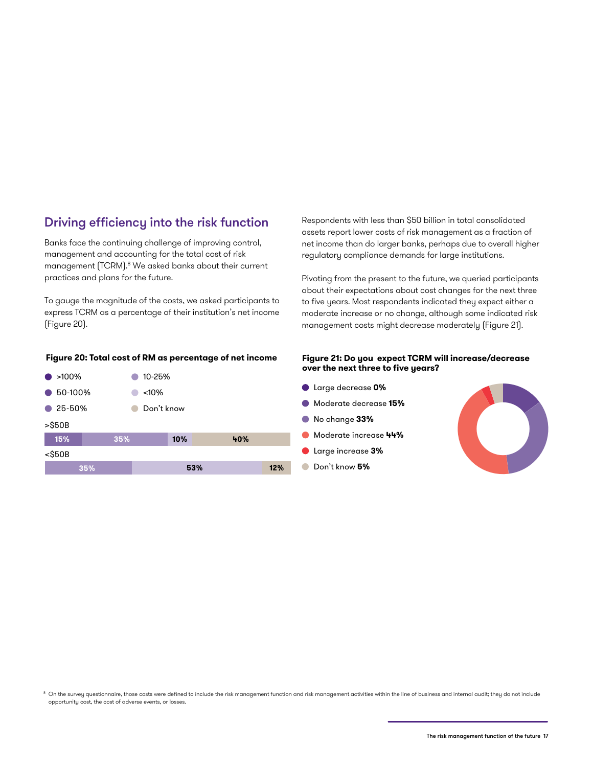# Driving efficiency into the risk function

Banks face the continuing challenge of improving control, management and accounting for the total cost of risk management (TCRM).<sup>8</sup> We asked banks about their current practices and plans for the future.

To gauge the magnitude of the costs, we asked participants to express TCRM as a percentage of their institution's net income (Figure 20).

#### **Figure 20: Total cost of RM as percentage of net income**

| >100%             |     | o a        | 10-25%   |     |     |     |     |  |  |
|-------------------|-----|------------|----------|-----|-----|-----|-----|--|--|
| 50-100%<br>$\Box$ |     |            | $< 10\%$ |     |     |     |     |  |  |
| 25-50%<br>0       |     | Don't know |          |     |     |     |     |  |  |
| $>$ \$50B         |     |            |          |     |     |     |     |  |  |
| 15%               |     | 35%        |          | 10% |     | 40% |     |  |  |
| $<$ \$50B         |     |            |          |     |     |     |     |  |  |
|                   | 35% |            |          |     | 53% |     | 12% |  |  |

Respondents with less than \$50 billion in total consolidated assets report lower costs of risk management as a fraction of net income than do larger banks, perhaps due to overall higher regulatory compliance demands for large institutions.

Pivoting from the present to the future, we queried participants about their expectations about cost changes for the next three to five years. Most respondents indicated they expect either a moderate increase or no change, although some indicated risk management costs might decrease moderately (Figure 21).

#### **Figure 21: Do you expect TCRM will increase/decrease over the next three to five years?**

- Large decrease **0%**
- Moderate decrease **15%**
- No change **33%**
- Moderate increase **44%**
- Large increase **3%**
- Don't know **5%**



<sup>8</sup> On the survey questionnaire, those costs were defined to include the risk management function and risk management activities within the line of business and internal audit; they do not include opportunity cost, the cost of adverse events, or losses.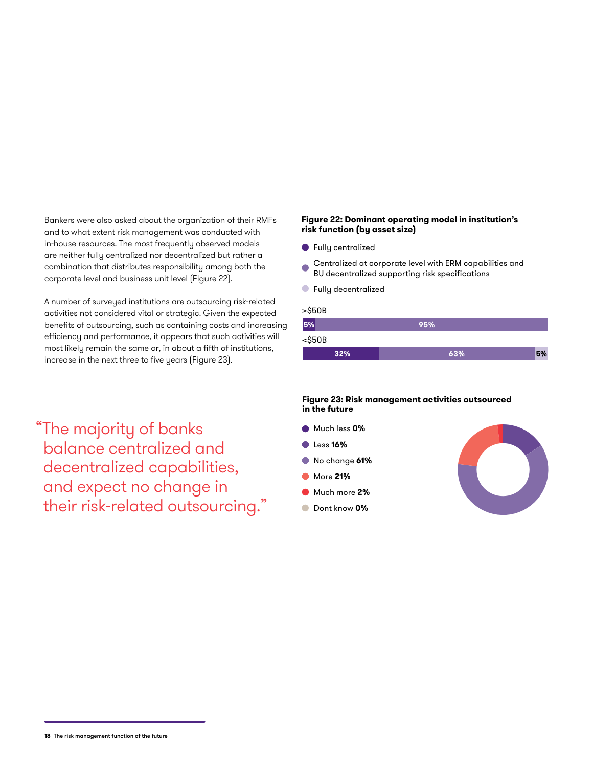Bankers were also asked about the organization of their RMFs and to what extent risk management was conducted with in-house resources. The most frequently observed models are neither fully centralized nor decentralized but rather a combination that distributes responsibility among both the corporate level and business unit level (Figure 22).

A number of surveyed institutions are outsourcing risk-related activities not considered vital or strategic. Given the expected benefits of outsourcing, such as containing costs and increasing efficiency and performance, it appears that such activities will most likely remain the same or, in about a fifth of institutions, increase in the next three to five years (Figure 23).

"The majority of banks balance centralized and decentralized capabilities, and expect no change in their risk-related outsourcing."

#### **Figure 22: Dominant operating model in institution's risk function (by asset size)**

- **•** Fully centralized
- Centralized at corporate level with ERM capabilities and BU decentralized supporting risk specifications
- **C** Fully decentralized

#### >\$50B

| 5%     | 95% |    |
|--------|-----|----|
| <\$50B |     |    |
| 32%    | 63% | 5% |

#### **Figure 23: Risk management activities outsourced in the future**

- Much less **0%**
- Less **16%**
- No change **61%**
- More **21%**
- Much more **2%**
- Dont know **0%**



**<sup>18</sup>** The risk management function of the future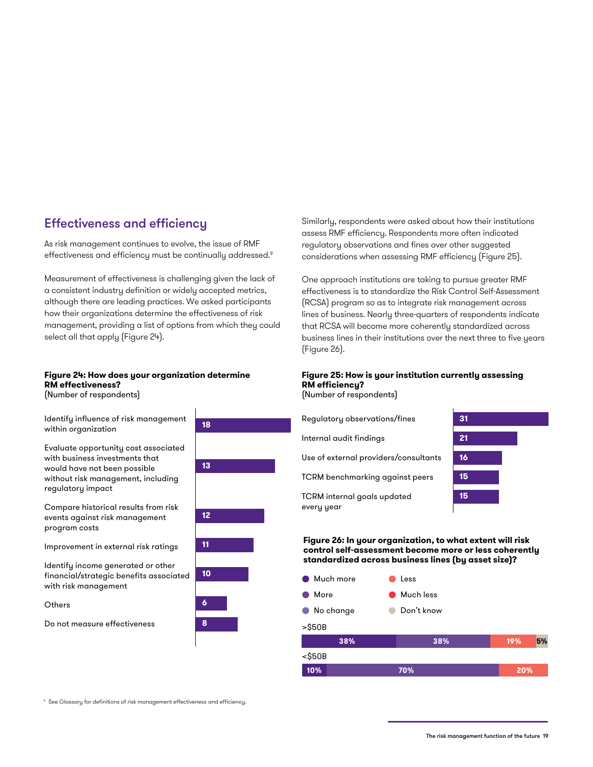## Effectiveness and efficiency

As risk management continues to evolve, the issue of RMF effectiveness and efficiency must be continually addressed.<sup>9</sup>

Measurement of effectiveness is challenging given the lack of a consistent industry definition or widely accepted metrics, although there are leading practices. We asked participants how their organizations determine the effectiveness of risk management, providing a list of options from which they could select all that apply (Figure 24).

### **Figure 24: How does your organization determine RM effectiveness?**

(Number of respondents)

Identify influence of risk management within organization

Evaluate opportunity cost associated with business investments that would have not been possible without risk management, including regulatory impact

Compare historical results from risk events against risk management program costs

Improvement in external risk ratings

Identify income generated or other financial/strategic benefits associated with risk management

#### **Others**

Do not measure effectiveness



Similarly, respondents were asked about how their institutions assess RMF efficiency. Respondents more often indicated regulatory observations and fines over other suggested considerations when assessing RMF efficiency (Figure 25).

One approach institutions are taking to pursue greater RMF effectiveness is to standardize the Risk Control Self-Assessment (RCSA) program so as to integrate risk management across lines of business. Nearly three-quarters of respondents indicate that RCSA will become more coherently standardized across business lines in their institutions over the next three to five years (Figure 26).

#### **Figure 25: How is your institution currently assessing RM efficiency?**

(Number of respondents)

| Regulatory observations/fines          | 31 |
|----------------------------------------|----|
| Internal audit findings                | 21 |
| Use of external providers/consultants  | 16 |
| <b>TCRM</b> benchmarking against peers | 15 |
| <b>TCRM</b> internal goals updated     | 15 |
| every year                             |    |

**Figure 26: In your organization, to what extent will risk control self-assessment become more or less coherently standardized across business lines (by asset size)?**

- **Much more A**less
- **More** Much less
- No change ● Don't know

 $>$ \$50B

|        | 38% | .38% | 19% | 5% |
|--------|-----|------|-----|----|
| <\$50B |     |      |     |    |
| 10%    |     | 70%  | 20% |    |

<sup>9</sup> See Glossary for definitions of risk management effectiveness and efficiency.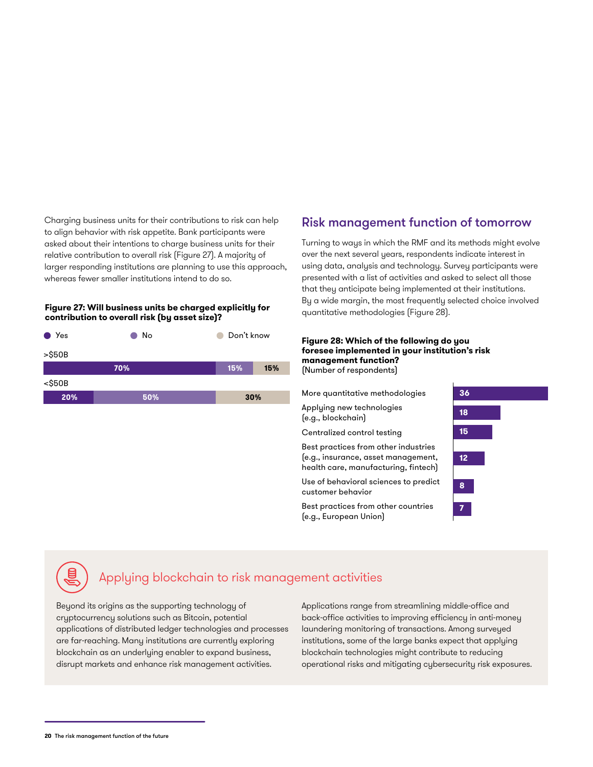Charging business units for their contributions to risk can help to align behavior with risk appetite. Bank participants were asked about their intentions to charge business units for their relative contribution to overall risk (Figure 27). A majority of larger responding institutions are planning to use this approach, whereas fewer smaller institutions intend to do so.

#### **Figure 27: Will business units be charged explicitly for contribution to overall risk (by asset size)?**

| $\bullet$ Yes | No  | Don't know |  |
|---------------|-----|------------|--|
| $>$ \$50B     |     |            |  |
|               | 70% | 15%<br>15% |  |
| $<$ \$50B     |     |            |  |
| 20%           | 50% | 30%        |  |
|               |     |            |  |

### Risk management function of tomorrow

Turning to ways in which the RMF and its methods might evolve over the next several years, respondents indicate interest in using data, analysis and technology. Survey participants were presented with a list of activities and asked to select all those that they anticipate being implemented at their institutions. By a wide margin, the most frequently selected choice involved quantitative methodologies (Figure 28).

#### **Figure 28: Which of the following do you foresee implemented in your institution's risk management function?** (Number of respondents)

More quantitative methodologies

Applying new technologies (e.g., blockchain)

Centralized control testing

Best practices from other industries (e.g., insurance, asset management, health care, manufacturing, fintech)

Use of behavioral sciences to predict customer behavior

Best practices from other countries (e.g., European Union)



# Applying blockchain to risk management activities

Beyond its origins as the supporting technology of cryptocurrency solutions such as Bitcoin, potential applications of distributed ledger technologies and processes are far-reaching. Many institutions are currently exploring blockchain as an underlying enabler to expand business, disrupt markets and enhance risk management activities.

Applications range from streamlining middle-office and back-office activities to improving efficiency in anti-money laundering monitoring of transactions. Among surveyed institutions, some of the large banks expect that applying blockchain technologies might contribute to reducing operational risks and mitigating cybersecurity risk exposures.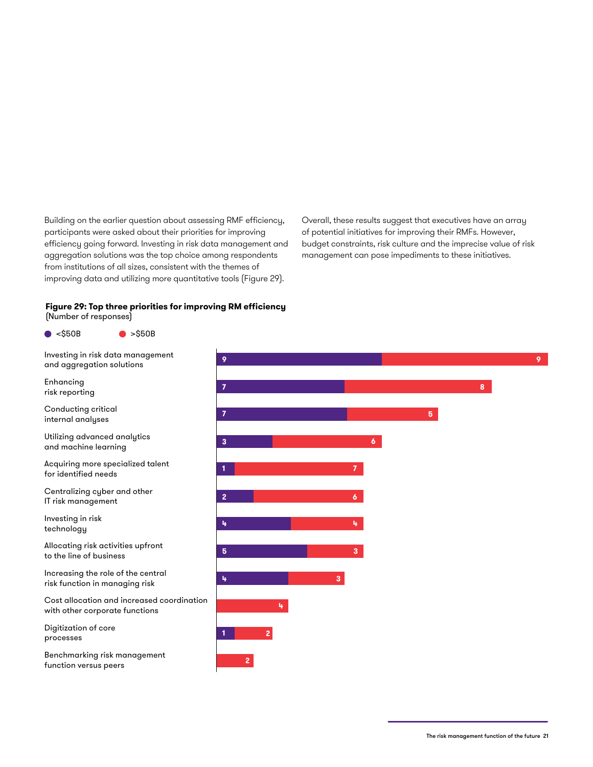Building on the earlier question about assessing RMF efficiency, participants were asked about their priorities for improving efficiency going forward. Investing in risk data management and aggregation solutions was the top choice among respondents from institutions of all sizes, consistent with the themes of improving data and utilizing more quantitative tools (Figure 29).

Overall, these results suggest that executives have an array of potential initiatives for improving their RMFs. However, budget constraints, risk culture and the imprecise value of risk management can pose impediments to these initiatives.

#### **Figure 29: Top three priorities for improving RM efficiency** (Number of responses)

 $\bullet$  <\$50B  $\bullet$  >\$50B

Investing in risk data management and aggregation solutions Enhancing risk reporting Conducting critical internal analyses Utilizing advanced analytics and machine learning Acquiring more specialized talent for identified needs Centralizing cyber and other IT risk management Investing in risk technology Allocating risk activities upfront to the line of business Increasing the role of the central risk function in managing risk Cost allocation and increased coordination with other corporate functions Digitization of core processes Benchmarking risk management function versus peers **9 7 7 3 1 2 4 5 4 1 9 8 5 6 7 6 4 3 3 4 2 2**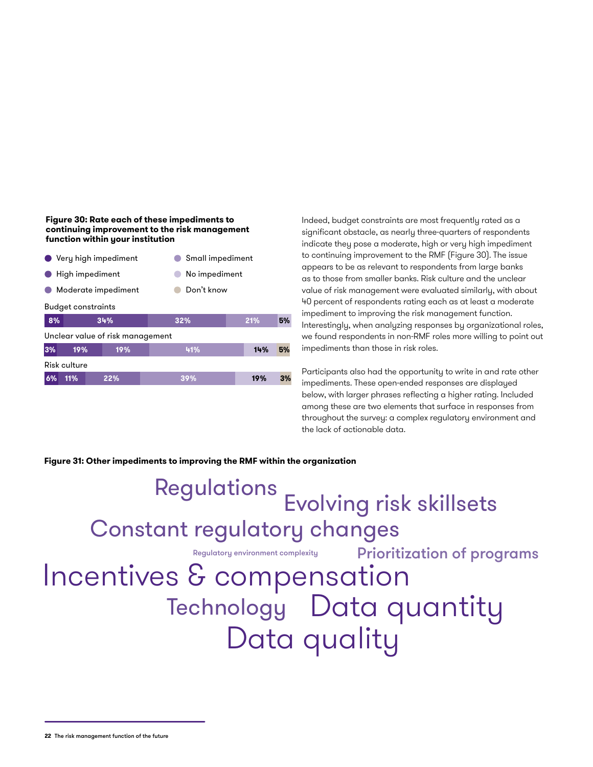#### **Figure 30: Rate each of these impediments to continuing improvement to the risk management function within your institution**

|                                  | ● Very high impediment    | Small impediment |     |  |
|----------------------------------|---------------------------|------------------|-----|--|
|                                  | High impediment           | No impediment    |     |  |
|                                  | Moderate impediment       | Don't know       |     |  |
|                                  | <b>Budget constraints</b> |                  |     |  |
| 8%                               | 34%                       | 32%              | 21% |  |
| Unclear value of risk management |                           |                  |     |  |

**3% 19% 19% 14% 5%**

Risk culture

**22%**

**6% 11%**

Indeed, budget constraints are most frequently rated as a significant obstacle, as nearly three-quarters of respondents indicate they pose a moderate, high or very high impediment to continuing improvement to the RMF (Figure 30). The issue appears to be as relevant to respondents from large banks as to those from smaller banks. Risk culture and the unclear value of risk management were evaluated similarly, with about 40 percent of respondents rating each as at least a moderate impediment to improving the risk management function. Interestingly, when analyzing responses by organizational roles, we found respondents in non-RMF roles more willing to point out impediments than those in risk roles.

Participants also had the opportunity to write in and rate other impediments. These open-ended responses are displayed below, with larger phrases reflecting a higher rating. Included among these are two elements that surface in responses from throughout the survey: a complex regulatory environment and the lack of actionable data.

**Figure 31: Other impediments to improving the RMF within the organization**

**41%**

**39%**

# Regulations Constant regulatory changes Evolving risk skillsets Technology Data quantity Regulatory environment complexity **Prioritization of programs** Incentives & compensation Data quality

**5%**

**19% 3%**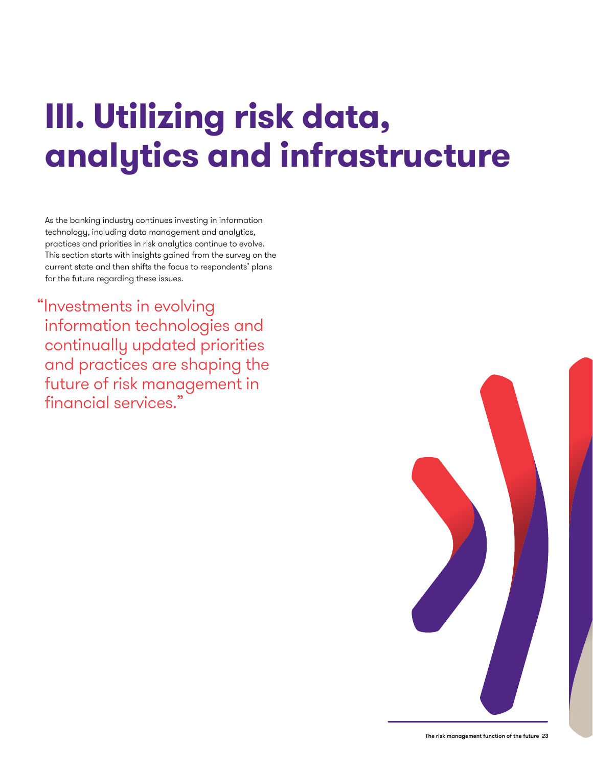# **III. Utilizing risk data, analytics and infrastructure**

As the banking industry continues investing in information technology, including data management and analytics, practices and priorities in risk analytics continue to evolve. This section starts with insights gained from the survey on the current state and then shifts the focus to respondents' plans for the future regarding these issues.

"Investments in evolving information technologies and continually updated priorities and practices are shaping the future of risk management in financial services."

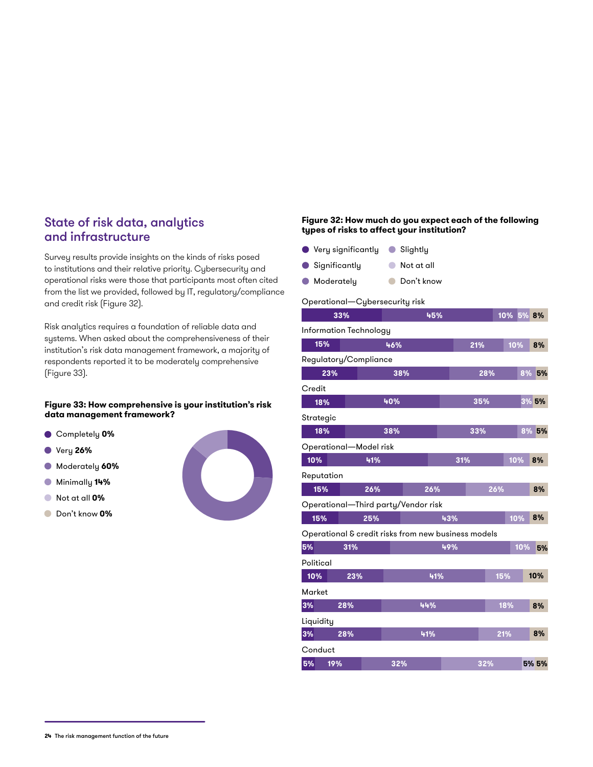### State of risk data, analytics and infrastructure

Survey results provide insights on the kinds of risks posed to institutions and their relative priority. Cybersecurity and operational risks were those that participants most often cited from the list we provided, followed by IT, regulatory/compliance and credit risk (Figure 32).

Risk analytics requires a foundation of reliable data and systems. When asked about the comprehensiveness of their institution's risk data management framework, a majority of respondents reported it to be moderately comprehensive (Figure 33).

#### **Figure 33: How comprehensive is your institution's risk data management framework?**

- Completely **0%**
- Very **26%**
- Moderately **60%**
- Minimally **14%**
- Not at all **0%**
- Don't know **0%**



#### **Figure 32: How much do you expect each of the following types of risks to affect your institution?**

- Very significantly Slightly
- Significantly ● Not at all
- **Moderately Don't know**

#### Operational—Cybersecurity risk

|                                                     | 33% |     |     | 45% |     |     | 10% 5% 8% |     |       |
|-----------------------------------------------------|-----|-----|-----|-----|-----|-----|-----------|-----|-------|
| Information Technology                              |     |     |     |     |     |     |           |     |       |
| 15%                                                 |     |     | 46% |     |     | 21% |           | 10% | 8%    |
| Regulatory/Compliance                               |     |     |     |     |     |     |           |     |       |
| 23%                                                 |     |     | 38% |     |     | 28% |           | 8%  | 5%    |
| Credit                                              |     |     |     |     |     |     |           |     |       |
| 18%                                                 |     |     | 40% |     |     | 35% |           |     | 3% 5% |
| Strategic                                           |     |     |     |     |     |     |           |     |       |
| 18%                                                 |     |     | 38% |     |     | 33% |           |     | 8% 5% |
| Operational-Model risk                              |     |     |     |     |     |     |           |     |       |
| 10%                                                 |     | 41% |     |     | 31% |     |           | 10% | 8%    |
| Reputation                                          |     |     |     |     |     |     |           |     |       |
| 15%                                                 |     | 26% |     | 26% |     |     | 26%       |     | 8%    |
| Operational—Third party/Vendor risk                 |     |     |     |     |     |     |           |     |       |
| 15%                                                 |     | 25% |     |     | 43% |     |           | 10% | 8%    |
| Operational & credit risks from new business models |     |     |     |     |     |     |           |     |       |
| 5%                                                  | 31% |     |     |     | 49% |     |           | 10% | 5%    |
| Political                                           |     |     |     |     |     |     |           |     |       |
| 10%                                                 | 23% |     |     | 41% |     |     | 15%       |     | 10%   |
| Market                                              |     |     |     |     |     |     |           |     |       |
| 3%                                                  | 28% |     |     | 44% |     |     | 18%       |     | 8%    |
| Liquidity                                           |     |     |     |     |     |     |           |     |       |
| 3%                                                  | 28% |     |     | 41% |     |     | 21%       |     | 8%    |
| Conduct                                             |     |     |     |     |     |     |           |     |       |
| 5%<br>19%                                           |     |     | 32% |     |     | 32% |           |     | 5% 5% |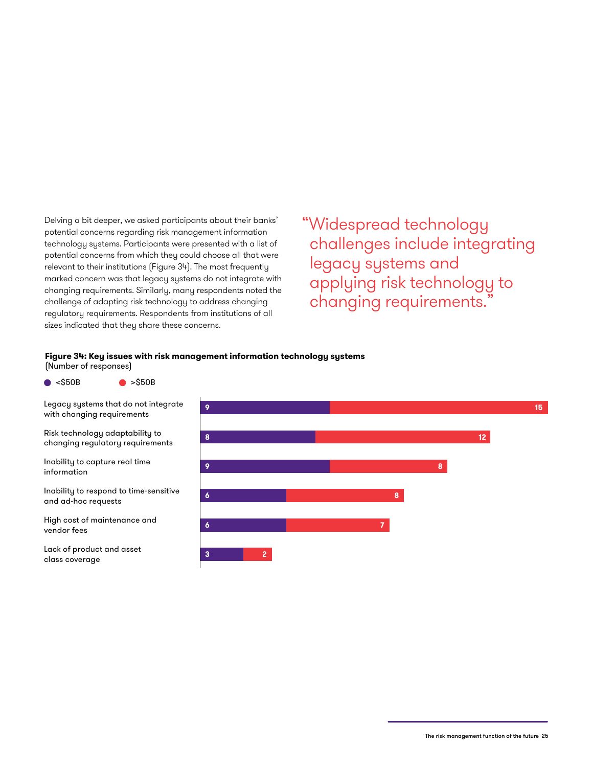Delving a bit deeper, we asked participants about their banks' potential concerns regarding risk management information technology systems. Participants were presented with a list of potential concerns from which they could choose all that were relevant to their institutions (Figure 34). The most frequently marked concern was that legacy systems do not integrate with changing requirements. Similarly, many respondents noted the challenge of adapting risk technology to address changing regulatory requirements. Respondents from institutions of all sizes indicated that they share these concerns.

"Widespread technology challenges include integrating legacy systems and applying risk technology to changing requirements."

#### **Figure 34: Key issues with risk management information technology systems** (Number of responses)

 $\bullet$  <\$50B  $\bullet$  >\$50B



Risk technology adaptability to changing regulatory requirements

Inability to capture real time information

Inability to respond to time-sensitive and ad-hoc requests

High cost of maintenance and vendor fees

Lack of product and asset class coverage

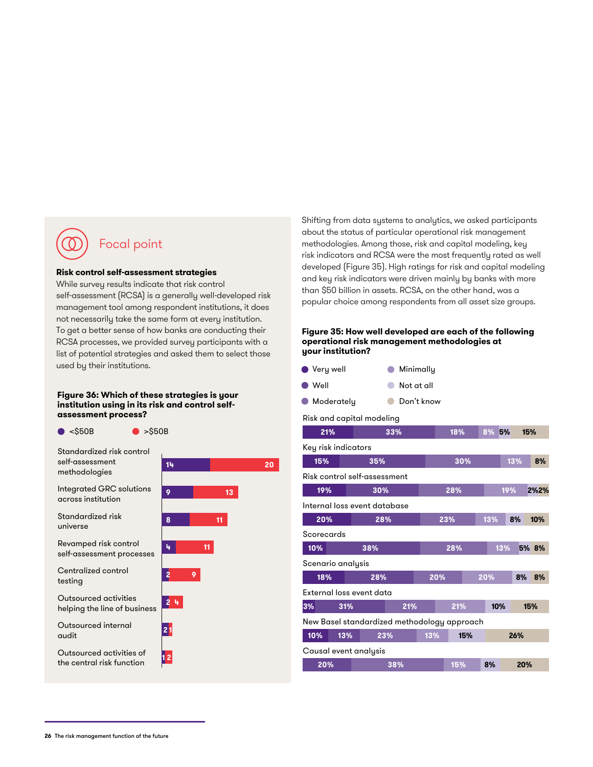# Focal point

#### **Risk control self-assessment strategies**

While survey results indicate that risk control self-assessment (RCSA) is a generally well-developed risk management tool among respondent institutions, it does not necessarily take the same form at every institution. To get a better sense of how banks are conducting their RCSA processes, we provided survey participants with a list of potential strategies and asked them to select those used by their institutions.

#### **Figure 36: Which of these strategies is your institution using in its risk and control selfassessment process?**

| $>$ \$50B<br>$<$ \$50B                                        |                 |
|---------------------------------------------------------------|-----------------|
| Standardized risk control<br>self-assessment<br>methodologies | 14<br>20        |
| Integrated GRC solutions<br>across institution                | $\bullet$<br>13 |
| Standardized risk<br>universe                                 | 8<br>11.        |
| Revamped risk control<br>self-assessment processes            | 4<br>11.        |
| Centralized control<br>testing                                | 2<br>9          |
| Outsourced activities<br>helping the line of business         | 24              |
| Outsourced internal<br>audit                                  | 21              |
| Outsourced activities of<br>the central risk function         | 12              |
|                                                               |                 |

Shifting from data systems to analytics, we asked participants about the status of particular operational risk management methodologies. Among those, risk and capital modeling, key risk indicators and RCSA were the most frequently rated as well developed (Figure 35). High ratings for risk and capital modeling and key risk indicators were driven mainly by banks with more than \$50 billion in assets. RCSA, on the other hand, was a popular choice among respondents from all asset size groups.

#### **Figure 35: How well developed are each of the following operational risk management methodologies at your institution?**

- Very well **Minimally**
- Well ● Not at all
- **Moderately Don't know**

#### Risk and capital modeling

| 21%                                         | 33% |     |     | 18% |     | 8% 5% |     |     | 15%   |
|---------------------------------------------|-----|-----|-----|-----|-----|-------|-----|-----|-------|
| Key risk indicators                         |     |     |     |     |     |       |     |     |       |
| 15%                                         | 35% |     |     | 30% |     |       |     | 13% | 8%    |
| Risk control self-assessment                |     |     |     |     |     |       |     |     |       |
| 19%                                         | 30% |     |     | 28% |     |       | 19% |     | 2%2%  |
| Internal loss event database                |     |     |     |     |     |       |     |     |       |
| 20%                                         | 28% |     |     | 23% |     | 13%   |     | 8%  | 10%   |
| Scorecards                                  |     |     |     |     |     |       |     |     |       |
| 10%                                         | 38% |     |     | 28% |     |       | 13% |     | 5% 8% |
| Scenario analysis                           |     |     |     |     |     |       |     |     |       |
| 18%                                         | 28% |     | 20% |     |     | 20%   |     | 8%  | 8%    |
| External loss event data                    |     |     |     |     |     |       |     |     |       |
| 3%<br>31%                                   |     | 21% |     | 21% |     |       | 10% |     | 15%   |
| New Basel standardized methodology approach |     |     |     |     |     |       |     |     |       |
| 10%<br>13%                                  | 23% |     | 13% |     | 15% |       |     | 26% |       |
| Causal event analysis                       |     |     |     |     |     |       |     |     |       |
| 20%                                         | 38% |     |     | 15% |     | 8%    |     | 20% |       |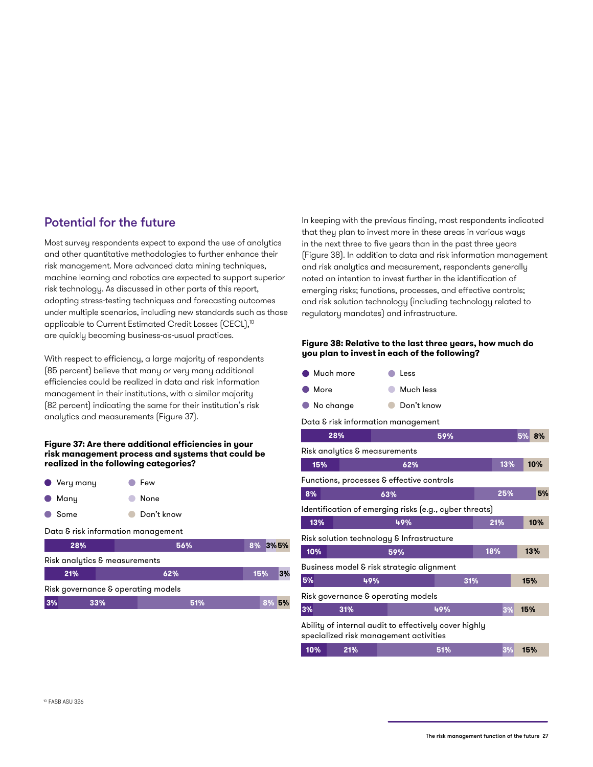### Potential for the future

Most survey respondents expect to expand the use of analytics and other quantitative methodologies to further enhance their risk management. More advanced data mining techniques, machine learning and robotics are expected to support superior risk technology. As discussed in other parts of this report, adopting stress-testing techniques and forecasting outcomes under multiple scenarios, including new standards such as those applicable to Current Estimated Credit Losses (CECL),<sup>10</sup> are quickly becoming business-as-usual practices.

With respect to efficiency, a large majority of respondents (85 percent) believe that many or very many additional efficiencies could be realized in data and risk information management in their institutions, with a similar majority (82 percent) indicating the same for their institution's risk analytics and measurements (Figure 37).

#### **Figure 37: Are there additional efficiencies in your risk management process and systems that could be realized in the following categories?**

| $\bullet$ Very many                |  | Few        |  |   |  |
|------------------------------------|--|------------|--|---|--|
| Many                               |  | None       |  |   |  |
| Some                               |  | Don't know |  |   |  |
| Data & risk information management |  |            |  |   |  |
| 28%                                |  | 56%        |  | 8 |  |
| Risk analytics & measurements      |  |            |  |   |  |
| 21%                                |  | 62%        |  |   |  |

|    | 21% |     |                                    | 15%   | 3% |
|----|-----|-----|------------------------------------|-------|----|
|    |     |     | Risk governance & operating models |       |    |
| 3% |     | 33% | 51%                                | 8% 5% |    |

In keeping with the previous finding, most respondents indicated that they plan to invest more in these areas in various ways in the next three to five years than in the past three years (Figure 38). In addition to data and risk information management and risk analytics and measurement, respondents generally noted an intention to invest further in the identification of emerging risks; functions, processes, and effective controls; and risk solution technology (including technology related to regulatory mandates) and infrastructure.

#### **Figure 38: Relative to the last three years, how much do you plan to invest in each of the following?**

| Much more | Less |
|-----------|------|
|-----------|------|

- **More Much less**
- $\bullet$  No change Don't know

#### Data & risk information management

**8% 3%5%**

|     | 28%                           |                                                                                                 | 59% |  |     | 5%  | 8% |
|-----|-------------------------------|-------------------------------------------------------------------------------------------------|-----|--|-----|-----|----|
|     | Risk analytics & measurements |                                                                                                 |     |  |     |     |    |
| 15% | 13%<br>62%                    |                                                                                                 |     |  | 10% |     |    |
|     |                               | Functions, processes & effective controls                                                       |     |  |     |     |    |
| 8%  |                               | 63%                                                                                             |     |  | 25% |     | 5% |
|     |                               | Identification of emerging risks [e.g., cyber threats]                                          |     |  |     |     |    |
| 13% |                               | 21%<br>49%                                                                                      |     |  | 10% |     |    |
|     |                               | Risk solution technology & Infrastructure                                                       |     |  |     |     |    |
| 10% | 59%                           |                                                                                                 | 18% |  |     | 13% |    |
|     |                               | Business model & risk strategic alignment                                                       |     |  |     |     |    |
| 5%  | 49%<br>31%                    |                                                                                                 |     |  |     | 15% |    |
|     |                               | Risk governance & operating models                                                              |     |  |     |     |    |
| 3%  | 31%                           |                                                                                                 | 49% |  | 3%  | 15% |    |
|     |                               | Ability of internal audit to effectively cover highly<br>specialized risk management activities |     |  |     |     |    |
| 10% | 21%                           |                                                                                                 | 51% |  | 3%  | 15% |    |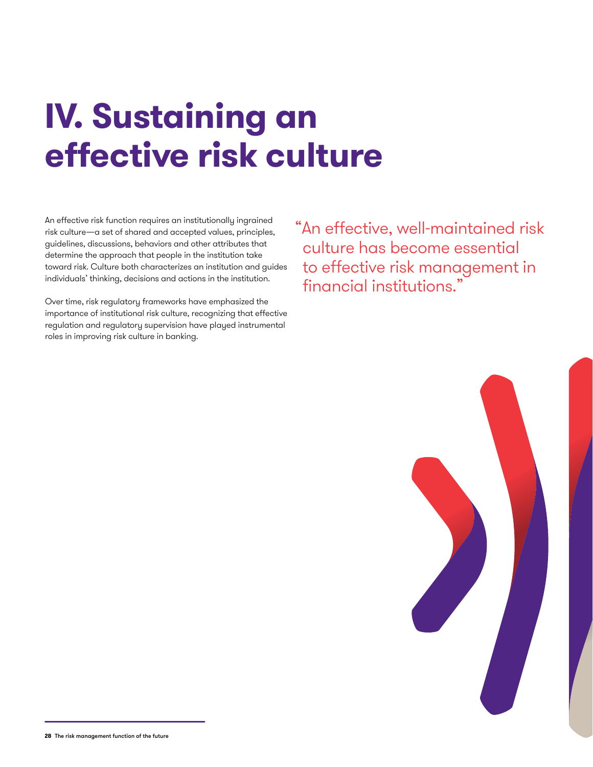# **IV. Sustaining an effective risk culture**

An effective risk function requires an institutionally ingrained risk culture—a set of shared and accepted values, principles, guidelines, discussions, behaviors and other attributes that determine the approach that people in the institution take toward risk. Culture both characterizes an institution and guides individuals' thinking, decisions and actions in the institution.

Over time, risk regulatory frameworks have emphasized the importance of institutional risk culture, recognizing that effective regulation and regulatory supervision have played instrumental roles in improving risk culture in banking.

"An effective, well-maintained risk culture has become essential to effective risk management in financial institutions."

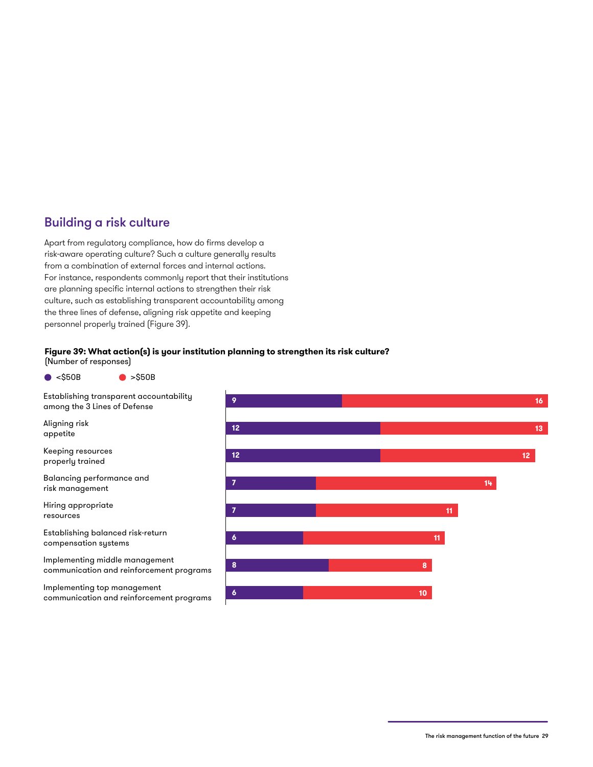### Building a risk culture

Apart from regulatory compliance, how do firms develop a risk-aware operating culture? Such a culture generally results from a combination of external forces and internal actions. For instance, respondents commonly report that their institutions are planning specific internal actions to strengthen their risk culture, such as establishing transparent accountability among the three lines of defense, aligning risk appetite and keeping personnel properly trained (Figure 39).

#### **Figure 39: What action(s) is your institution planning to strengthen its risk culture?** (Number of responses)

 $\bullet$  <\$50B  $\bullet$  >\$50B

Establishing transparent accountability among the 3 Lines of Defense

Aligning risk appetite

Keeping resources properly trained

Balancing performance and risk management

Hiring appropriate resources

Establishing balanced risk-return compensation systems

Implementing middle management communication and reinforcement programs

Implementing top management communication and reinforcement programs

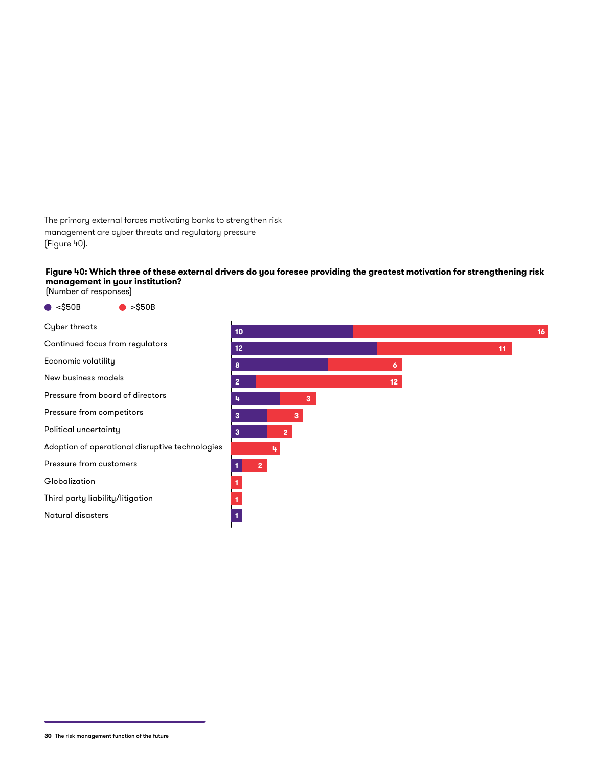The primary external forces motivating banks to strengthen risk management are cyber threats and regulatory pressure (Figure 40).

#### **Figure 40: Which three of these external drivers do you foresee providing the greatest motivation for strengthening risk management in your institution?**

(Number of responses)

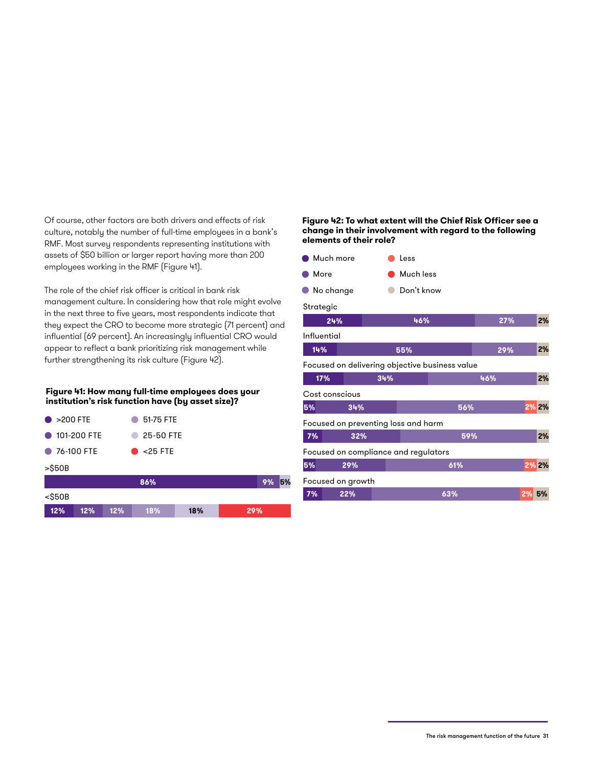Of course, other factors are both drivers and effects of risk culture, notably the number of full-time employees in a bank's RMF. Most survey respondents representing institutions with assets of \$50 billion or larger report having more than 200 employees working in the RMF (Figure 41).

The role of the chief risk officer is critical in bank risk management culture. In considering how that role might evolve in the next three to five years, most respondents indicate that they expect the CRO to become more strategic (71 percent) and influential (69 percent). An increasingly influential CRO would appear to reflect a bank prioritizing risk management while further strengthening its risk culture (Figure 42).

#### **Figure 41: How many full-time employees does your institution's risk function have (by asset size)?**

| 12%          | 12%         | 12% | 18%        | 18% | 29% |    |    |
|--------------|-------------|-----|------------|-----|-----|----|----|
| $<$ \$50B    |             |     |            |     |     |    |    |
|              |             |     | 86%        |     |     | 9% | 5% |
| $>$ \$50B    |             |     |            |     |     |    |    |
| • 76-100 FTE |             |     | $<$ 25 FTE |     |     |    |    |
|              | 101-200 FTE |     | 25-50 FTE  |     |     |    |    |
| >200 FTE     |             |     | 51-75 FTE  |     |     |    |    |

#### **Figure 42: To what extent will the Chief Risk Officer see a change in their involvement with regard to the following elements of their role?**

| Much more                            |     |           | Less       |                                                |     |       |
|--------------------------------------|-----|-----------|------------|------------------------------------------------|-----|-------|
| More<br>O)                           |     | Much less |            |                                                |     |       |
| $\bullet$ No change                  |     |           | Don't know |                                                |     |       |
| Strategic                            |     |           |            |                                                |     |       |
| 24%                                  |     |           | 46%        |                                                | 27% | 2%    |
| Influential                          |     |           |            |                                                |     |       |
| 14%                                  |     |           | 55%        |                                                | 29% | 2%    |
|                                      |     |           |            | Focused on delivering objective business value |     |       |
| 17%                                  |     | 34%       |            |                                                | 46% | 2%    |
| Cost conscious                       |     |           |            |                                                |     |       |
| 5%                                   | 34% |           |            | 56%                                            |     | 2% 2% |
| Focused on preventing loss and harm  |     |           |            |                                                |     |       |
| 7%                                   | 32% |           |            | 59%                                            |     | 2%    |
| Focused on compliance and regulators |     |           |            |                                                |     |       |
| 5%                                   | 29% |           |            | 61%                                            |     | 2% 2% |
| Focused on growth                    |     |           |            |                                                |     |       |
| 7%                                   | 22% |           |            | 63%                                            |     | 2% 5% |
|                                      |     |           |            |                                                |     |       |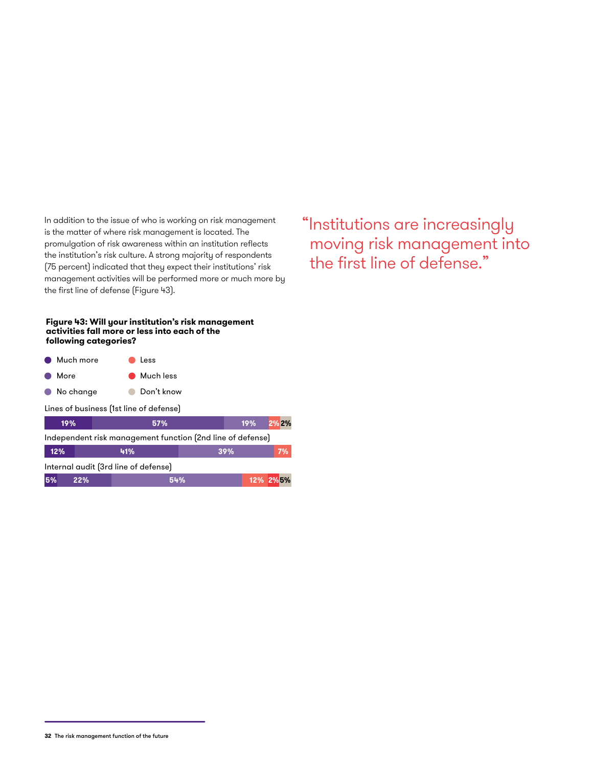In addition to the issue of who is working on risk management is the matter of where risk management is located. The promulgation of risk awareness within an institution reflects the institution's risk culture. A strong majority of respondents (75 percent) indicated that they expect their institutions' risk management activities will be performed more or much more by the first line of defense (Figure 43).

#### **Figure 43: Will your institution's risk management activities fall more or less into each of the following categories?**

| • Much more | $\bullet$ Less   |
|-------------|------------------|
| • More      | <b>Much less</b> |
| • No change | Don't know       |

Lines of business (1st line of defense)

| 19%                                  |                                                            | 57%              | 19% |  | 2% 2%     |  |
|--------------------------------------|------------------------------------------------------------|------------------|-----|--|-----------|--|
|                                      | Independent risk management function (2nd line of defense) |                  |     |  |           |  |
| 12%                                  |                                                            | 39%<br>41%       |     |  | <b>7%</b> |  |
| Internal audit (3rd line of defense) |                                                            |                  |     |  |           |  |
| 5%                                   | 22%                                                        | 12% 2% 5%<br>54% |     |  |           |  |

"Institutions are increasingly moving risk management into the first line of defense."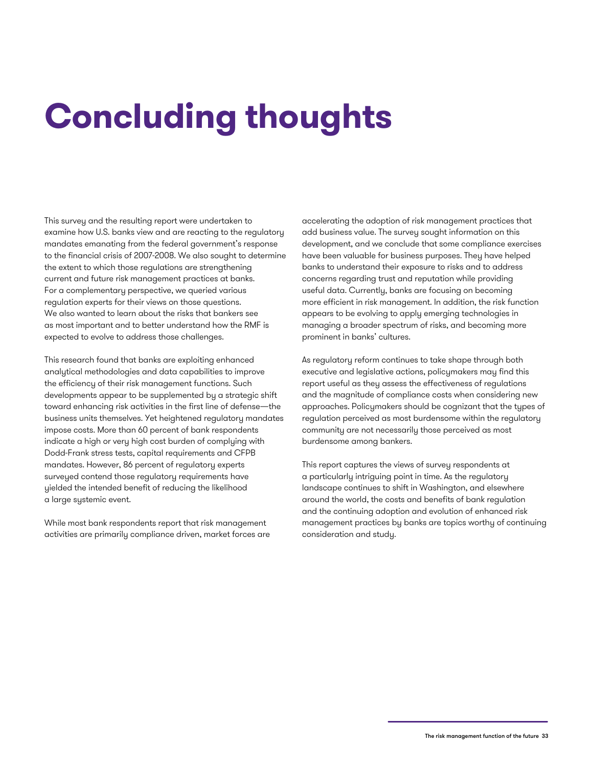# **Concluding thoughts**

This survey and the resulting report were undertaken to examine how U.S. banks view and are reacting to the regulatory mandates emanating from the federal government's response to the financial crisis of 2007-2008. We also sought to determine the extent to which those regulations are strengthening current and future risk management practices at banks. For a complementary perspective, we queried various regulation experts for their views on those questions. We also wanted to learn about the risks that bankers see as most important and to better understand how the RMF is expected to evolve to address those challenges.

This research found that banks are exploiting enhanced analytical methodologies and data capabilities to improve the efficiency of their risk management functions. Such developments appear to be supplemented by a strategic shift toward enhancing risk activities in the first line of defense—the business units themselves. Yet heightened regulatory mandates impose costs. More than 60 percent of bank respondents indicate a high or very high cost burden of complying with Dodd-Frank stress tests, capital requirements and CFPB mandates. However, 86 percent of regulatory experts surveyed contend those regulatory requirements have yielded the intended benefit of reducing the likelihood a large systemic event.

While most bank respondents report that risk management activities are primarily compliance driven, market forces are accelerating the adoption of risk management practices that add business value. The survey sought information on this development, and we conclude that some compliance exercises have been valuable for business purposes. They have helped banks to understand their exposure to risks and to address concerns regarding trust and reputation while providing useful data. Currently, banks are focusing on becoming more efficient in risk management. In addition, the risk function appears to be evolving to apply emerging technologies in managing a broader spectrum of risks, and becoming more prominent in banks' cultures.

As regulatory reform continues to take shape through both executive and legislative actions, policymakers may find this report useful as they assess the effectiveness of regulations and the magnitude of compliance costs when considering new approaches. Policymakers should be cognizant that the types of regulation perceived as most burdensome within the regulatory community are not necessarily those perceived as most burdensome among bankers.

This report captures the views of survey respondents at a particularly intriguing point in time. As the regulatory landscape continues to shift in Washington, and elsewhere around the world, the costs and benefits of bank regulation and the continuing adoption and evolution of enhanced risk management practices by banks are topics worthy of continuing consideration and study.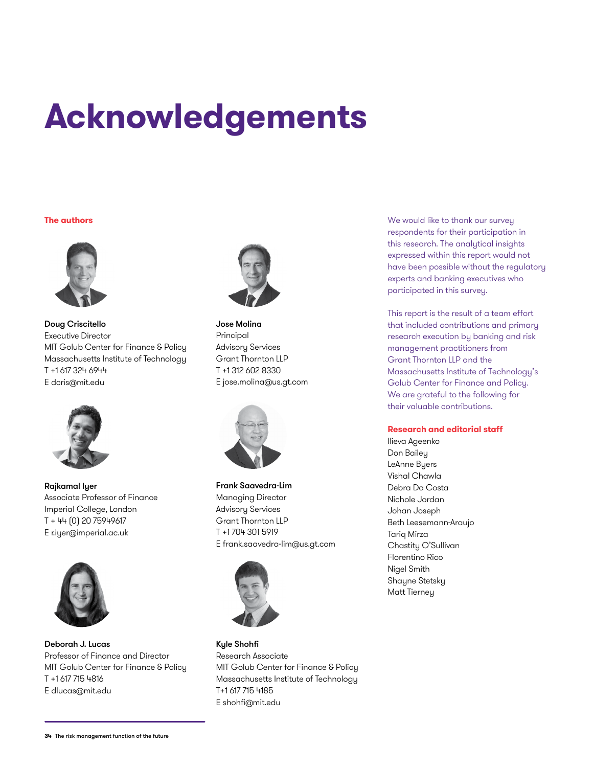# **Acknowledgements**

#### **The authors**



Doug Criscitello Executive Director MIT Golub Center for Finance & Policy Massachusetts Institute of Technology T +1 617 324 6944 E dcris@mit.edu



Rajkamal Iyer Associate Professor of Finance Imperial College, London T + 44 (0) 20 75949617 E r.iyer@imperial.ac.uk



Deborah J. Lucas Professor of Finance and Director MIT Golub Center for Finance & Policy T +1 617 715 4816 E dlucas@mit.edu



Jose Molina Principal Advisory Services Grant Thornton LLP T +1 312 602 8330 E jose.molina@us.gt.com



Frank Saavedra-Lim Managing Director Advisory Services Grant Thornton LLP T +1 704 301 5919 E frank.saavedra-lim@us.gt.com



Kyle Shohfi Research Associate MIT Golub Center for Finance & Policy Massachusetts Institute of Technology T+1 617 715 4185 E shohfi@mit.edu

We would like to thank our survey respondents for their participation in this research. The analytical insights expressed within this report would not have been possible without the regulatory experts and banking executives who participated in this survey.

This report is the result of a team effort that included contributions and primary research execution by banking and risk management practitioners from Grant Thornton LLP and the Massachusetts Institute of Technology's Golub Center for Finance and Policy. We are grateful to the following for their valuable contributions.

#### **Research and editorial staff**

Ilieva Ageenko Don Bailey LeAnne Byers Vishal Chawla Debra Da Costa Nichole Jordan Johan Joseph Beth Leesemann-Araujo Tariq Mirza Chastity O'Sullivan Florentino Rico Nigel Smith Shayne Stetsky Matt Tierney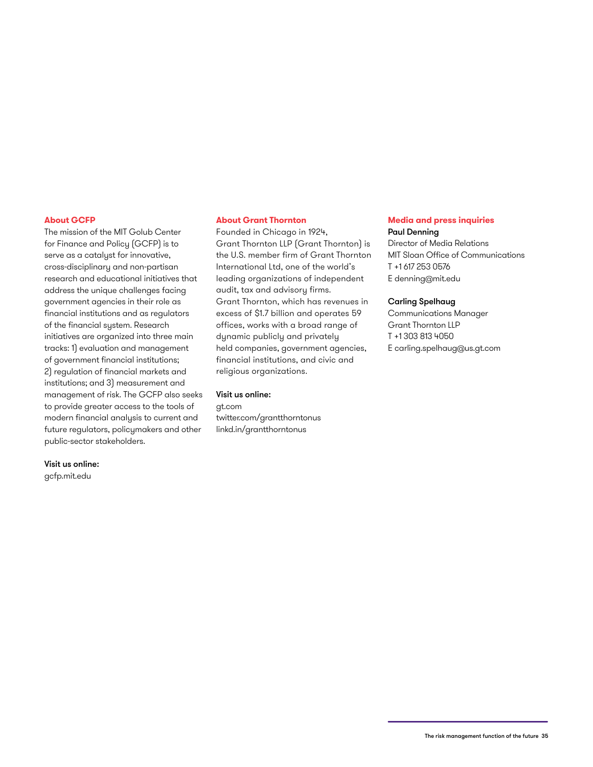#### **About GCFP**

The mission of the MIT Golub Center for Finance and Policy (GCFP) is to serve as a catalyst for innovative, cross-disciplinary and non-partisan research and educational initiatives that address the unique challenges facing government agencies in their role as financial institutions and as regulators of the financial system. Research initiatives are organized into three main tracks: 1) evaluation and management of government financial institutions; 2) regulation of financial markets and institutions; and 3) measurement and management of risk. The GCFP also seeks to provide greater access to the tools of modern financial analysis to current and future regulators, policymakers and other public-sector stakeholders.

#### Visit us online:

gcfp.mit.edu

#### **About Grant Thornton**

Founded in Chicago in 1924, Grant Thornton LLP (Grant Thornton) is the U.S. member firm of Grant Thornton International Ltd, one of the world's leading organizations of independent audit, tax and advisory firms. Grant Thornton, which has revenues in excess of \$1.7 billion and operates 59 offices, works with a broad range of dynamic publicly and privately held companies, government agencies, financial institutions, and civic and religious organizations.

#### Visit us online:

gt.com twitter.com/grantthorntonus linkd.in/grantthorntonus

#### **Media and press inquiries**

#### Paul Denning

Director of Media Relations MIT Sloan Office of Communications T +1 617 253 0576 E denning@mit.edu

#### Carling Spelhaug

Communications Manager Grant Thornton LLP T +1 303 813 4050 E carling.spelhaug@us.gt.com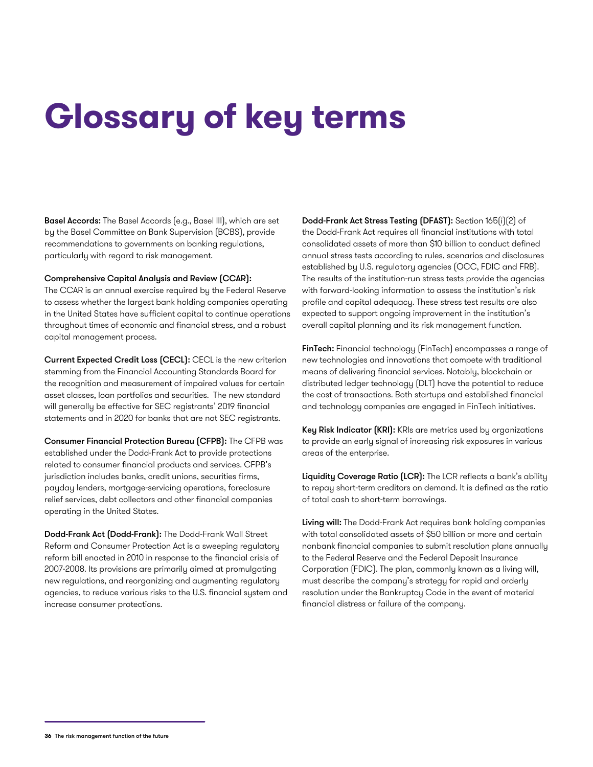# **Glossary of key terms**

Basel Accords: The Basel Accords (e.g., Basel III), which are set by the Basel Committee on Bank Supervision (BCBS), provide recommendations to governments on banking regulations, particularly with regard to risk management.

#### Comprehensive Capital Analysis and Review (CCAR):

The CCAR is an annual exercise required by the Federal Reserve to assess whether the largest bank holding companies operating in the United States have sufficient capital to continue operations throughout times of economic and financial stress, and a robust capital management process.

Current Expected Credit Loss (CECL): CECL is the new criterion stemming from the Financial Accounting Standards Board for the recognition and measurement of impaired values for certain asset classes, loan portfolios and securities. The new standard will generally be effective for SEC registrants' 2019 financial statements and in 2020 for banks that are not SEC registrants.

Consumer Financial Protection Bureau (CFPB): The CFPB was established under the Dodd-Frank Act to provide protections related to consumer financial products and services. CFPB's jurisdiction includes banks, credit unions, securities firms, payday lenders, mortgage-servicing operations, foreclosure relief services, debt collectors and other financial companies operating in the United States.

Dodd-Frank Act (Dodd-Frank): The Dodd-Frank Wall Street Reform and Consumer Protection Act is a sweeping regulatory reform bill enacted in 2010 in response to the financial crisis of 2007-2008. Its provisions are primarily aimed at promulgating new regulations, and reorganizing and augmenting regulatory agencies, to reduce various risks to the U.S. financial system and increase consumer protections.

Dodd-Frank Act Stress Testing (DFAST): Section 165(i)(2) of the Dodd-Frank Act requires all financial institutions with total consolidated assets of more than \$10 billion to conduct defined annual stress tests according to rules, scenarios and disclosures established by U.S. regulatory agencies (OCC, FDIC and FRB). The results of the institution-run stress tests provide the agencies with forward-looking information to assess the institution's risk profile and capital adequacy. These stress test results are also expected to support ongoing improvement in the institution's overall capital planning and its risk management function.

FinTech: Financial technology (FinTech) encompasses a range of new technologies and innovations that compete with traditional means of delivering financial services. Notably, blockchain or distributed ledger technology (DLT) have the potential to reduce the cost of transactions. Both startups and established financial and technology companies are engaged in FinTech initiatives.

Key Risk Indicator (KRI): KRIs are metrics used by organizations to provide an early signal of increasing risk exposures in various areas of the enterprise.

Liquidity Coverage Ratio (LCR): The LCR reflects a bank's ability to repay short-term creditors on demand. It is defined as the ratio of total cash to short-term borrowings.

Living will: The Dodd-Frank Act requires bank holding companies with total consolidated assets of \$50 billion or more and certain nonbank financial companies to submit resolution plans annually to the Federal Reserve and the Federal Deposit Insurance Corporation (FDIC). The plan, commonly known as a living will, must describe the company's strategy for rapid and orderly resolution under the Bankruptcy Code in the event of material financial distress or failure of the company.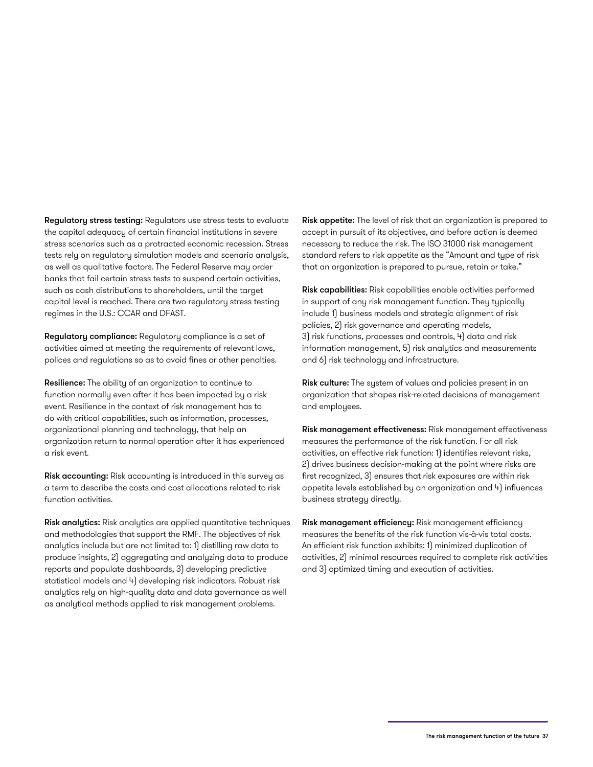Regulatory stress testing: Regulators use stress tests to evaluate the capital adequacy of certain financial institutions in severe stress scenarios such as a protracted economic recession. Stress tests rely on regulatory simulation models and scenario analysis, as well as qualitative factors. The Federal Reserve may order banks that fail certain stress tests to suspend certain activities, such as cash distributions to shareholders, until the target capital level is reached. There are two regulatory stress testing regimes in the U.S.: CCAR and DFAST.

Regulatory compliance: Regulatory compliance is a set of activities aimed at meeting the requirements of relevant laws, polices and regulations so as to avoid fines or other penalties.

Resilience: The ability of an organization to continue to function normally even after it has been impacted by a risk event. Resilience in the context of risk management has to do with critical capabilities, such as information, processes, organizational planning and technology, that help an organization return to normal operation after it has experienced a risk event.

Risk accounting: Risk accounting is introduced in this survey as a term to describe the costs and cost allocations related to risk function activities.

Risk analytics: Risk analytics are applied quantitative techniques and methodologies that support the RMF. The objectives of risk analytics include but are not limited to: 1) distilling raw data to produce insights, 2) aggregating and analyzing data to produce reports and populate dashboards, 3) developing predictive statistical models and 4) developing risk indicators. Robust risk analytics rely on high-quality data and data governance as well as analytical methods applied to risk management problems.

Risk appetite: The level of risk that an organization is prepared to accept in pursuit of its objectives, and before action is deemed necessary to reduce the risk. The ISO 31000 risk management standard refers to risk appetite as the "Amount and type of risk that an organization is prepared to pursue, retain or take."

Risk capabilities: Risk capabilities enable activities performed in support of any risk management function. They typically include 1) business models and strategic alignment of risk policies, 2) risk governance and operating models, 3) risk functions, processes and controls, 4) data and risk information management, 5) risk analytics and measurements and 6) risk technology and infrastructure.

Risk culture: The system of values and policies present in an organization that shapes risk-related decisions of management and employees.

Risk management effectiveness: Risk management effectiveness measures the performance of the risk function. For all risk activities, an effective risk function: 1) identifies relevant risks, 2) drives business decision-making at the point where risks are first recognized, 3) ensures that risk exposures are within risk appetite levels established by an organization and 4) influences business strategy directly.

Risk management efficiency: Risk management efficiency measures the benefits of the risk function vis-à-vis total costs. An efficient risk function exhibits: 1) minimized duplication of activities, 2) minimal resources required to complete risk activities and 3) optimized timing and execution of activities.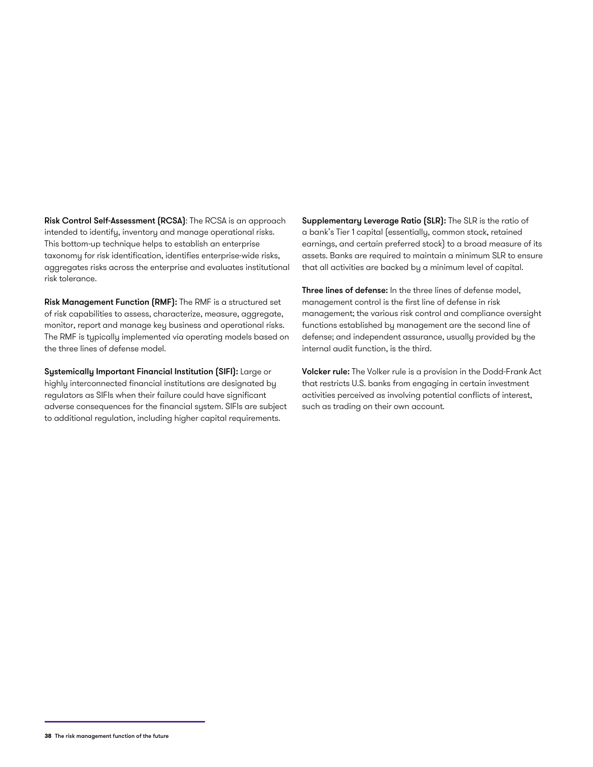Risk Control Self-Assessment (RCSA): The RCSA is an approach intended to identify, inventory and manage operational risks. This bottom-up technique helps to establish an enterprise taxonomy for risk identification, identifies enterprise-wide risks, aggregates risks across the enterprise and evaluates institutional risk tolerance.

Risk Management Function (RMF): The RMF is a structured set of risk capabilities to assess, characterize, measure, aggregate, monitor, report and manage key business and operational risks. The RMF is typically implemented via operating models based on the three lines of defense model.

Systemically Important Financial Institution (SIFI): Large or highly interconnected financial institutions are designated by regulators as SIFIs when their failure could have significant adverse consequences for the financial system. SIFIs are subject to additional regulation, including higher capital requirements.

Supplementary Leverage Ratio (SLR): The SLR is the ratio of a bank's Tier 1 capital (essentially, common stock, retained earnings, and certain preferred stock) to a broad measure of its assets. Banks are required to maintain a minimum SLR to ensure that all activities are backed by a minimum level of capital.

Three lines of defense: In the three lines of defense model, management control is the first line of defense in risk management; the various risk control and compliance oversight functions established by management are the second line of defense; and independent assurance, usually provided by the internal audit function, is the third.

Volcker rule: The Volker rule is a provision in the Dodd-Frank Act that restricts U.S. banks from engaging in certain investment activities perceived as involving potential conflicts of interest, such as trading on their own account.

**<sup>38</sup>** The risk management function of the future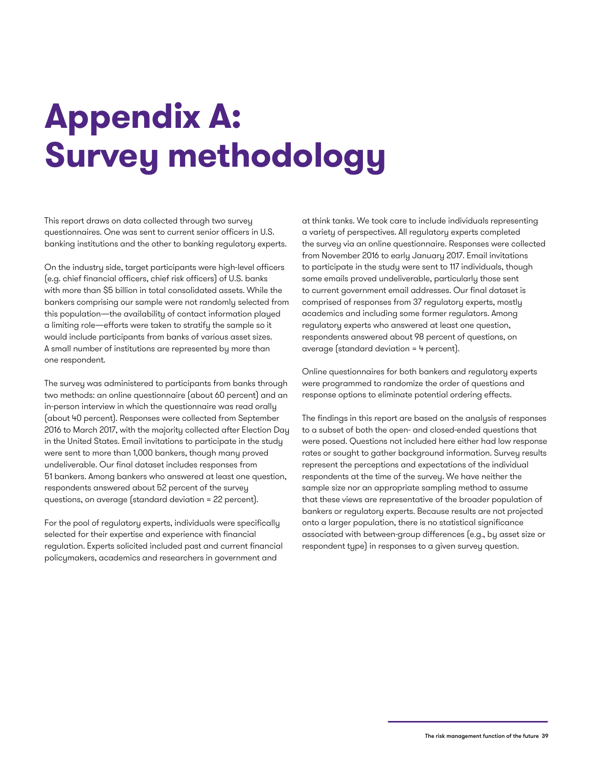# **Appendix A: Survey methodology**

This report draws on data collected through two survey questionnaires. One was sent to current senior officers in U.S. banking institutions and the other to banking regulatory experts.

On the industry side, target participants were high-level officers (e.g. chief financial officers, chief risk officers) of U.S. banks with more than \$5 billion in total consolidated assets. While the bankers comprising our sample were not randomly selected from this population—the availability of contact information played a limiting role—efforts were taken to stratify the sample so it would include participants from banks of various asset sizes. A small number of institutions are represented by more than one respondent.

The survey was administered to participants from banks through two methods: an online questionnaire (about 60 percent) and an in-person interview in which the questionnaire was read orally (about 40 percent). Responses were collected from September 2016 to March 2017, with the majority collected after Election Day in the United States. Email invitations to participate in the study were sent to more than 1,000 bankers, though many proved undeliverable. Our final dataset includes responses from 51 bankers. Among bankers who answered at least one question, respondents answered about 52 percent of the survey questions, on average (standard deviation = 22 percent).

For the pool of regulatory experts, individuals were specifically selected for their expertise and experience with financial regulation. Experts solicited included past and current financial policymakers, academics and researchers in government and

at think tanks. We took care to include individuals representing a variety of perspectives. All regulatory experts completed the survey via an online questionnaire. Responses were collected from November 2016 to early January 2017. Email invitations to participate in the study were sent to 117 individuals, though some emails proved undeliverable, particularly those sent to current government email addresses. Our final dataset is comprised of responses from 37 regulatory experts, mostly academics and including some former regulators. Among regulatory experts who answered at least one question, respondents answered about 98 percent of questions, on average (standard deviation = 4 percent).

Online questionnaires for both bankers and regulatory experts were programmed to randomize the order of questions and response options to eliminate potential ordering effects.

The findings in this report are based on the analysis of responses to a subset of both the open- and closed-ended questions that were posed. Questions not included here either had low response rates or sought to gather background information. Survey results represent the perceptions and expectations of the individual respondents at the time of the survey. We have neither the sample size nor an appropriate sampling method to assume that these views are representative of the broader population of bankers or regulatory experts. Because results are not projected onto a larger population, there is no statistical significance associated with between-group differences (e.g., by asset size or respondent type) in responses to a given survey question.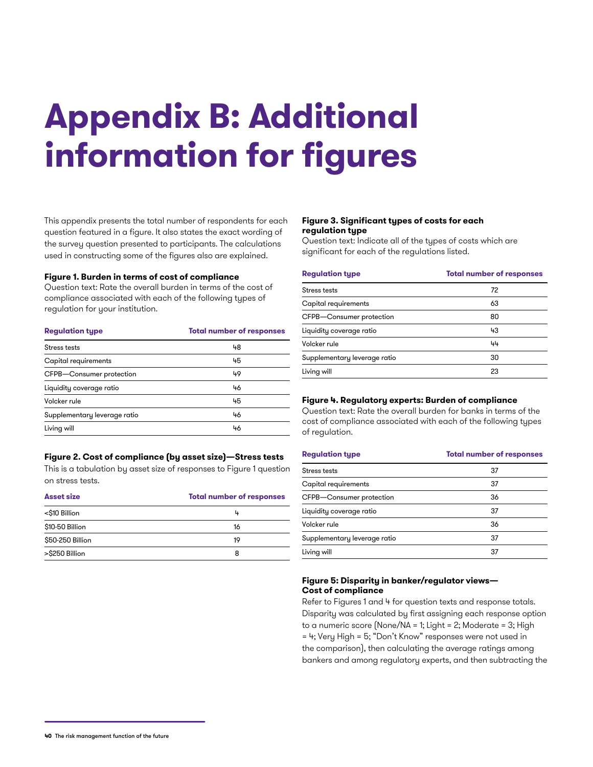# **Appendix B: Additional information for figures**

This appendix presents the total number of respondents for each question featured in a figure. It also states the exact wording of the survey question presented to participants. The calculations used in constructing some of the figures also are explained.

#### **Figure 1. Burden in terms of cost of compliance**

Question text: Rate the overall burden in terms of the cost of compliance associated with each of the following types of regulation for your institution.

| <b>Regulation type</b>       | <b>Total number of responses</b> |
|------------------------------|----------------------------------|
| Stress tests                 | 48                               |
| Capital requirements         | 45                               |
| CFPB-Consumer protection     | 49                               |
| Liquidity coverage ratio     | 46                               |
| Volcker rule                 | 45                               |
| Supplementary leverage ratio | 46                               |
| Living will                  | 46                               |
|                              |                                  |

#### **Figure 2. Cost of compliance (by asset size)—Stress tests**

This is a tabulation by asset size of responses to Figure 1 question on stress tests.

| <b>Asset size</b> | <b>Total number of responses</b> |
|-------------------|----------------------------------|
| <\$10 Billion     | 4                                |
| \$10-50 Billion   | 16                               |
| \$50-250 Billion  | 19                               |
| >\$250 Billion    | 8                                |

#### **Figure 3. Significant types of costs for each regulation type**

Question text: Indicate all of the types of costs which are significant for each of the regulations listed.

| <b>Regulation type</b>       | <b>Total number of responses</b> |
|------------------------------|----------------------------------|
| Stress tests                 | 72                               |
| Capital requirements         | 63                               |
| CFPB-Consumer protection     | 80                               |
| Liquidity coverage ratio     | 43                               |
| Volcker rule                 | 44                               |
| Supplementary leverage ratio | 30                               |
| Living will                  | 23                               |
|                              |                                  |

#### **Figure 4. Regulatory experts: Burden of compliance**

Question text: Rate the overall burden for banks in terms of the cost of compliance associated with each of the following types of regulation.

| <b>Total number of responses</b> |  |  |
|----------------------------------|--|--|
| 37                               |  |  |
| 37                               |  |  |
| 36                               |  |  |
| 37                               |  |  |
| 36                               |  |  |
| 37                               |  |  |
| 37                               |  |  |
|                                  |  |  |

#### **Figure 5: Disparity in banker/regulator views— Cost of compliance**

Refer to Figures 1 and 4 for question texts and response totals. Disparity was calculated by first assigning each response option to a numeric score (None/NA = 1; Light = 2; Moderate = 3; High = 4; Very High = 5; "Don't Know" responses were not used in the comparison), then calculating the average ratings among bankers and among regulatory experts, and then subtracting the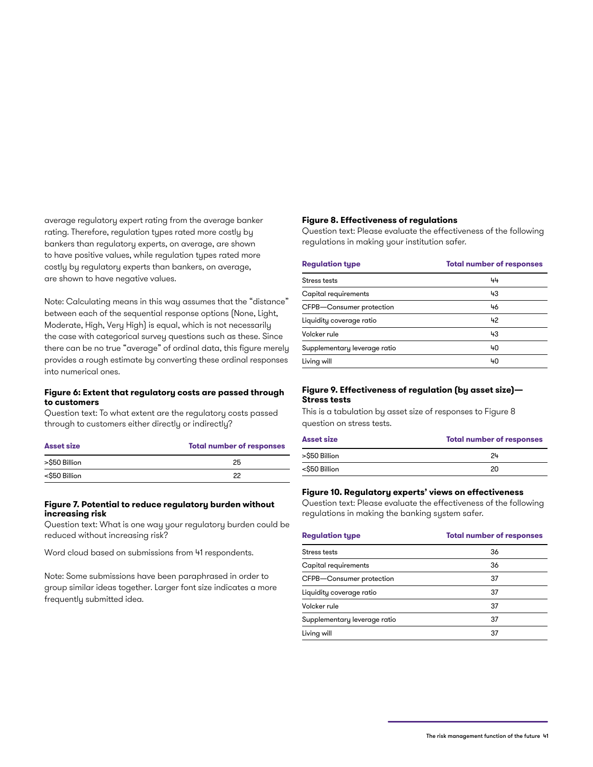average regulatory expert rating from the average banker rating. Therefore, regulation types rated more costly by bankers than regulatory experts, on average, are shown to have positive values, while regulation types rated more costly by regulatory experts than bankers, on average, are shown to have negative values.

Note: Calculating means in this way assumes that the "distance" between each of the sequential response options (None, Light, Moderate, High, Very High) is equal, which is not necessarily the case with categorical survey questions such as these. Since there can be no true "average" of ordinal data, this figure merely provides a rough estimate by converting these ordinal responses into numerical ones.

#### **Figure 6: Extent that regulatory costs are passed through to customers**

Question text: To what extent are the regulatory costs passed through to customers either directly or indirectly?

| <b>Asset size</b>                        | <b>Total number of responses</b> |  |  |
|------------------------------------------|----------------------------------|--|--|
| >\$50 Billion                            | 25                               |  |  |
| <s50 billion<="" td=""><td>22</td></s50> | 22                               |  |  |

#### **Figure 7. Potential to reduce regulatory burden without increasing risk**

Question text: What is one way your regulatory burden could be reduced without increasing risk?

Word cloud based on submissions from 41 respondents.

Note: Some submissions have been paraphrased in order to group similar ideas together. Larger font size indicates a more frequently submitted idea.

#### **Figure 8. Effectiveness of regulations**

Question text: Please evaluate the effectiveness of the following regulations in making your institution safer.

| <b>Regulation type</b>       | <b>Total number of responses</b> |  |  |
|------------------------------|----------------------------------|--|--|
| Stress tests                 | 44                               |  |  |
| Capital requirements         | 43                               |  |  |
| CFPB-Consumer protection     | 46                               |  |  |
| Liquidity coverage ratio     | 42                               |  |  |
| Volcker rule                 | 43                               |  |  |
| Supplementary leverage ratio | 40                               |  |  |
| Living will                  | 40                               |  |  |

#### **Figure 9. Effectiveness of regulation (by asset size)— Stress tests**

This is a tabulation by asset size of responses to Figure 8 question on stress tests.

| <b>Total number of responses</b> |  |
|----------------------------------|--|
| 24                               |  |
| 20                               |  |
|                                  |  |

#### **Figure 10. Regulatory experts' views on effectiveness**

Question text: Please evaluate the effectiveness of the following regulations in making the banking system safer.

| <b>Regulation type</b>       | <b>Total number of responses</b> |
|------------------------------|----------------------------------|
| Stress tests                 | 36                               |
| Capital requirements         | 36                               |
| CFPB-Consumer protection     | 37                               |
| Liquidity coverage ratio     | 37                               |
| Volcker rule                 | 37                               |
| Supplementary leverage ratio | 37                               |
| Living will                  | 37                               |
|                              |                                  |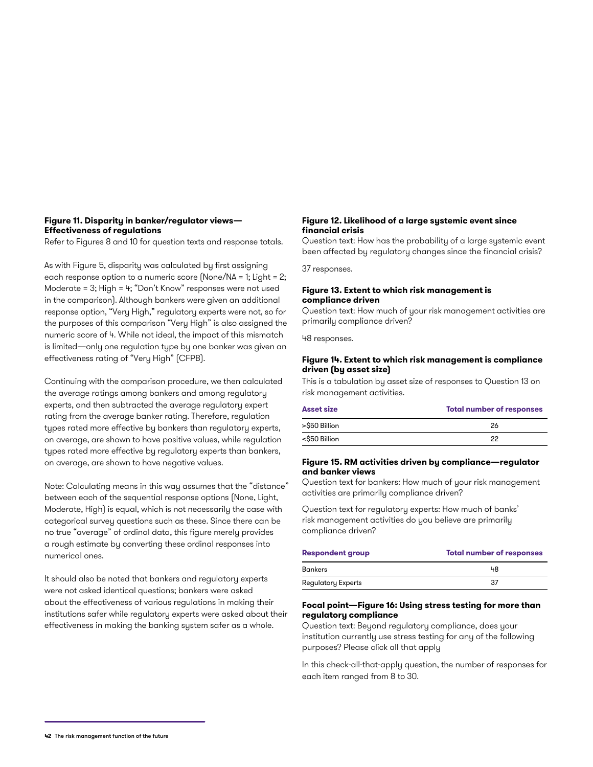#### **Figure 11. Disparity in banker/regulator views— Effectiveness of regulations**

Refer to Figures 8 and 10 for question texts and response totals.

As with Figure 5, disparity was calculated by first assigning each response option to a numeric score (None/NA = 1; Light = 2; Moderate = 3; High = 4; "Don't Know" responses were not used in the comparison). Although bankers were given an additional response option, "Very High," regulatory experts were not, so for the purposes of this comparison "Very High" is also assigned the numeric score of 4. While not ideal, the impact of this mismatch is limited—only one regulation type by one banker was given an effectiveness rating of "Very High" (CFPB).

Continuing with the comparison procedure, we then calculated the average ratings among bankers and among regulatory experts, and then subtracted the average regulatory expert rating from the average banker rating. Therefore, regulation types rated more effective by bankers than regulatory experts, on average, are shown to have positive values, while regulation types rated more effective by regulatory experts than bankers, on average, are shown to have negative values.

Note: Calculating means in this way assumes that the "distance" between each of the sequential response options (None, Light, Moderate, High) is equal, which is not necessarily the case with categorical survey questions such as these. Since there can be no true "average" of ordinal data, this figure merely provides a rough estimate by converting these ordinal responses into numerical ones.

It should also be noted that bankers and regulatory experts were not asked identical questions; bankers were asked about the effectiveness of various regulations in making their institutions safer while regulatory experts were asked about their effectiveness in making the banking system safer as a whole.

#### **Figure 12. Likelihood of a large systemic event since financial crisis**

Question text: How has the probability of a large systemic event been affected by regulatory changes since the financial crisis?

37 responses.

#### **Figure 13. Extent to which risk management is compliance driven**

Question text: How much of your risk management activities are primarily compliance driven?

48 responses.

#### **Figure 14. Extent to which risk management is compliance driven (by asset size)**

This is a tabulation by asset size of responses to Question 13 on risk management activities.

| <b>Asset size</b> | <b>Total number of responses</b> |
|-------------------|----------------------------------|
| >\$50 Billion     | 26                               |
| <\$50 Billion     | 22                               |

#### **Figure 15. RM activities driven by compliance—regulator and banker views**

Question text for bankers: How much of your risk management activities are primarily compliance driven?

Question text for regulatory experts: How much of banks' risk management activities do you believe are primarily compliance driven?

| <b>Respondent group</b>   | <b>Total number of responses</b> |
|---------------------------|----------------------------------|
| <b>Bankers</b>            | 48                               |
| <b>Regulatory Experts</b> | -37                              |

#### **Focal point—Figure 16: Using stress testing for more than regulatory compliance**

Question text: Beyond regulatory compliance, does your institution currently use stress testing for any of the following purposes? Please click all that apply

In this check-all-that-apply question, the number of responses for each item ranged from 8 to 30.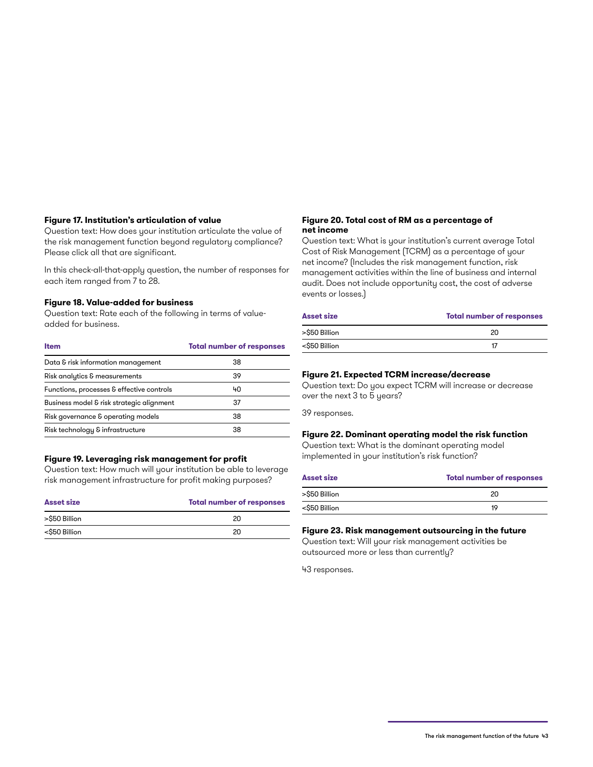#### **Figure 17. Institution's articulation of value**

Question text: How does your institution articulate the value of the risk management function beyond regulatory compliance? Please click all that are significant.

In this check-all-that-apply question, the number of responses for each item ranged from 7 to 28.

#### **Figure 18. Value-added for business**

Question text: Rate each of the following in terms of valueadded for business.

| <b>Item</b>                               | <b>Total number of responses</b> |
|-------------------------------------------|----------------------------------|
| Data & risk information management        | 38                               |
| Risk analytics & measurements             | 39                               |
| Functions, processes & effective controls | 40                               |
| Business model & risk strategic alignment | 37                               |
| Risk governance & operating models        | 38                               |
| Risk technology & infrastructure          | 38                               |

#### **Figure 19. Leveraging risk management for profit**

Question text: How much will your institution be able to leverage risk management infrastructure for profit making purposes?

| Asset size                               | <b>Total number of responses</b> |
|------------------------------------------|----------------------------------|
| >\$50 Billion                            | 20                               |
| <s50 billion<="" td=""><td>20</td></s50> | 20                               |

#### **Figure 20. Total cost of RM as a percentage of net income**

Question text: What is your institution's current average Total Cost of Risk Management (TCRM) as a percentage of your net income? (Includes the risk management function, risk management activities within the line of business and internal audit. Does not include opportunity cost, the cost of adverse events or losses.)

| <b>Asset size</b> | <b>Total number of responses</b> |
|-------------------|----------------------------------|
| >\$50 Billion     | 20                               |
| <\$50 Billion     |                                  |

#### **Figure 21. Expected TCRM increase/decrease**

Question text: Do you expect TCRM will increase or decrease over the next 3 to 5 years?

39 responses.

#### **Figure 22. Dominant operating model the risk function**

Question text: What is the dominant operating model implemented in your institution's risk function?

| <b>Asset size</b>                        | <b>Total number of responses</b> |
|------------------------------------------|----------------------------------|
| >\$50 Billion                            | 20                               |
| <s50 billion<="" td=""><td>19</td></s50> | 19                               |

#### **Figure 23. Risk management outsourcing in the future**

Question text: Will your risk management activities be outsourced more or less than currently?

43 responses.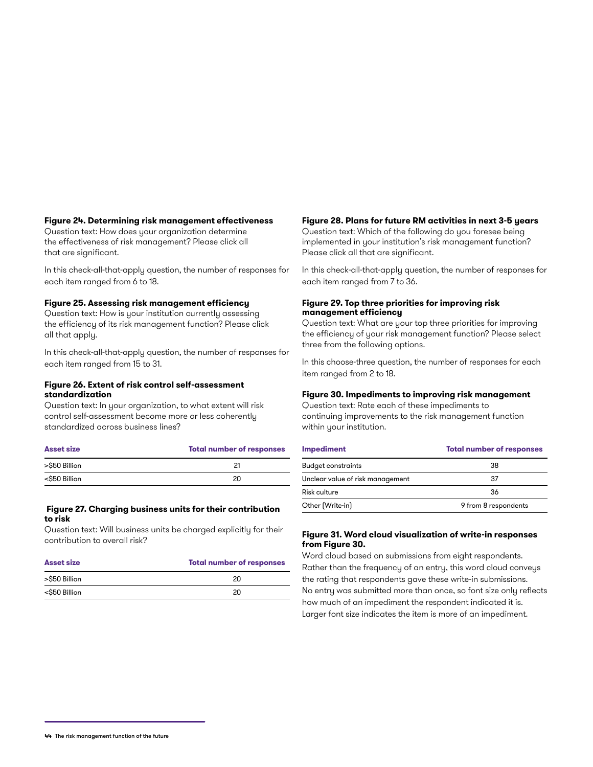#### **Figure 24. Determining risk management effectiveness**

Question text: How does your organization determine the effectiveness of risk management? Please click all that are significant.

In this check-all-that-apply question, the number of responses for each item ranged from 6 to 18.

#### **Figure 25. Assessing risk management efficiency**

Question text: How is your institution currently assessing the efficiency of its risk management function? Please click all that apply.

In this check-all-that-apply question, the number of responses for each item ranged from 15 to 31.

#### **Figure 26. Extent of risk control self-assessment standardization**

Question text: In your organization, to what extent will risk control self-assessment become more or less coherently standardized across business lines?

| <b>Asset size</b> | <b>Total number of responses</b> |
|-------------------|----------------------------------|
| >\$50 Billion     | 21                               |
| <\$50 Billion     | 20                               |

#### **Figure 27. Charging business units for their contribution to risk**

Question text: Will business units be charged explicitly for their contribution to overall risk?

| <b>Asset size</b> | <b>Total number of responses</b> |
|-------------------|----------------------------------|
| >\$50 Billion     | 20                               |
| <\$50 Billion     | 20                               |

#### **Figure 28. Plans for future RM activities in next 3-5 years**

Question text: Which of the following do you foresee being implemented in your institution's risk management function? Please click all that are significant.

In this check-all-that-apply question, the number of responses for each item ranged from 7 to 36.

#### **Figure 29. Top three priorities for improving risk management efficiency**

Question text: What are your top three priorities for improving the efficiency of your risk management function? Please select three from the following options.

In this choose-three question, the number of responses for each item ranged from 2 to 18.

#### **Figure 30. Impediments to improving risk management**

Question text: Rate each of these impediments to continuing improvements to the risk management function within your institution.

| <b>Impediment</b>                | <b>Total number of responses</b> |
|----------------------------------|----------------------------------|
| <b>Budget constraints</b>        | 38                               |
| Unclear value of risk management | 37                               |
| Risk culture                     | 36                               |
| Other (Write-in)                 | 9 from 8 respondents             |
|                                  |                                  |

#### **Figure 31. Word cloud visualization of write-in responses from Figure 30.**

Word cloud based on submissions from eight respondents. Rather than the frequency of an entry, this word cloud conveys the rating that respondents gave these write-in submissions. No entry was submitted more than once, so font size only reflects how much of an impediment the respondent indicated it is. Larger font size indicates the item is more of an impediment.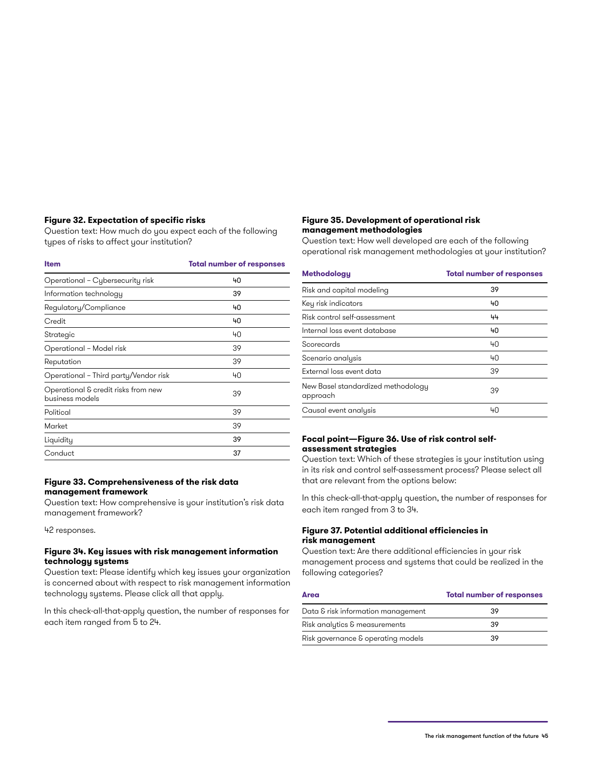#### **Figure 32. Expectation of specific risks**

Question text: How much do you expect each of the following types of risks to affect your institution?

| <b>Item</b>                                            | <b>Total number of responses</b> |
|--------------------------------------------------------|----------------------------------|
| Operational - Cybersecurity risk                       | 40                               |
| Information technology                                 | 39                               |
| Regulatory/Compliance                                  | 40                               |
| Credit                                                 | 40                               |
| Strategic                                              | 40                               |
| Operational - Model risk                               | 39                               |
| Reputation                                             | 39                               |
| Operational - Third party/Vendor risk                  | 40                               |
| Operational & credit risks from new<br>business models | 39                               |
| Political                                              | 39                               |
| Market                                                 | 39                               |
| Liquidity                                              | 39                               |
| Conduct                                                | 37                               |

#### **Figure 33. Comprehensiveness of the risk data management framework**

Question text: How comprehensive is your institution's risk data management framework?

42 responses.

#### **Figure 34. Key issues with risk management information technology systems**

Question text: Please identify which key issues your organization is concerned about with respect to risk management information technology systems. Please click all that apply.

In this check-all-that-apply question, the number of responses for each item ranged from 5 to 24.

#### **Figure 35. Development of operational risk management methodologies**

Question text: How well developed are each of the following operational risk management methodologies at your institution?

| <b>Methodologu</b>                             | <b>Total number of responses</b> |
|------------------------------------------------|----------------------------------|
| Risk and capital modeling                      | 39                               |
| Key risk indicators                            | 40                               |
| Risk control self-assessment                   | 44                               |
| Internal loss event database                   | 40                               |
| Scorecards                                     | 40                               |
| Scenario analysis                              | 40                               |
| External loss event data                       | 39                               |
| New Basel standardized methodology<br>approach | 39                               |
| Causal event analysis                          | 40                               |

#### **Focal point—Figure 36. Use of risk control selfassessment strategies**

Question text: Which of these strategies is your institution using in its risk and control self-assessment process? Please select all that are relevant from the options below:

In this check-all-that-apply question, the number of responses for each item ranged from 3 to 34.

#### **Figure 37. Potential additional efficiencies in risk management**

Question text: Are there additional efficiencies in your risk management process and systems that could be realized in the following categories?

| Area                               | <b>Total number of responses</b> |
|------------------------------------|----------------------------------|
| Data & risk information management | 39                               |
| Risk analytics & measurements      | 39                               |
| Risk governance & operating models | 39                               |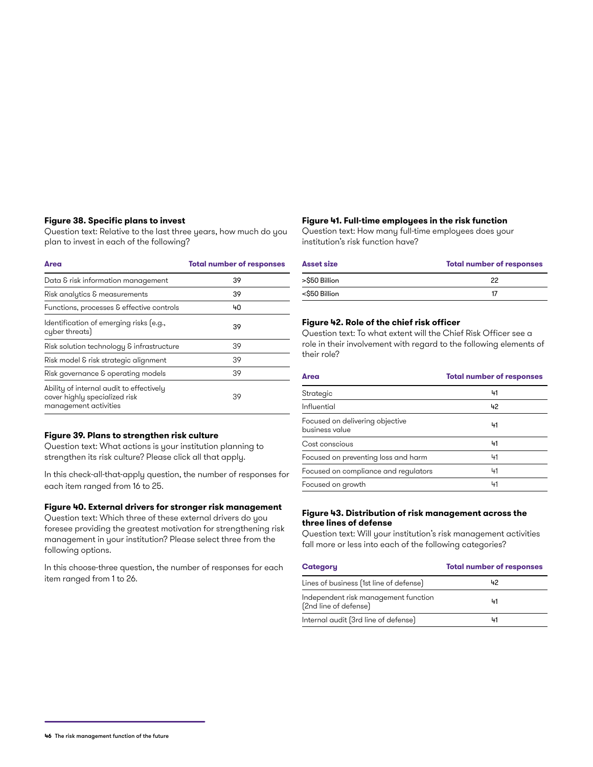#### **Figure 38. Specific plans to invest**

Question text: Relative to the last three years, how much do you plan to invest in each of the following?

| Area                                                                                               | <b>Total number of responses</b> |
|----------------------------------------------------------------------------------------------------|----------------------------------|
| Data & risk information management                                                                 | 39                               |
| Risk analytics & measurements                                                                      | 39                               |
| Functions, processes & effective controls                                                          | 40                               |
| Identification of emerging risks (e.g.,<br>cyber threats)                                          | 39                               |
| Risk solution technology & infrastructure                                                          | 39                               |
| Risk model & risk strategic alignment                                                              | 39                               |
| Risk governance & operating models                                                                 | 39                               |
| Ability of internal audit to effectively<br>cover highly specialized risk<br>management activities | 39                               |

#### **Figure 39. Plans to strengthen risk culture**

Question text: What actions is your institution planning to strengthen its risk culture? Please click all that apply.

In this check-all-that-apply question, the number of responses for each item ranged from 16 to 25.

#### **Figure 40. External drivers for stronger risk management**

Question text: Which three of these external drivers do you foresee providing the greatest motivation for strengthening risk management in your institution? Please select three from the following options.

In this choose-three question, the number of responses for each item ranged from 1 to 26.

#### **Figure 41. Full-time employees in the risk function**

Question text: How many full-time employees does your institution's risk function have?

| Asset size    | <b>Total number of responses</b> |
|---------------|----------------------------------|
| >\$50 Billion | 22                               |
| <\$50 Billion | 17                               |

#### **Figure 42. Role of the chief risk officer**

Question text: To what extent will the Chief Risk Officer see a role in their involvement with regard to the following elements of their role?

| Area                                              | <b>Total number of responses</b> |
|---------------------------------------------------|----------------------------------|
| Strategic                                         | 41                               |
| Influential                                       | 42                               |
| Focused on delivering objective<br>business value | 41                               |
| Cost conscious                                    | 41                               |
| Focused on preventing loss and harm               | 41                               |
| Focused on compliance and regulators              | 41                               |
| Focused on growth                                 | 41                               |

#### **Figure 43. Distribution of risk management across the three lines of defense**

Question text: Will your institution's risk management activities fall more or less into each of the following categories?

| Category                                                      | <b>Total number of responses</b> |
|---------------------------------------------------------------|----------------------------------|
| Lines of business (1st line of defense)                       | 42                               |
| Independent risk management function<br>[2nd line of defense] | 41                               |
| Internal audit (3rd line of defense)                          | 41                               |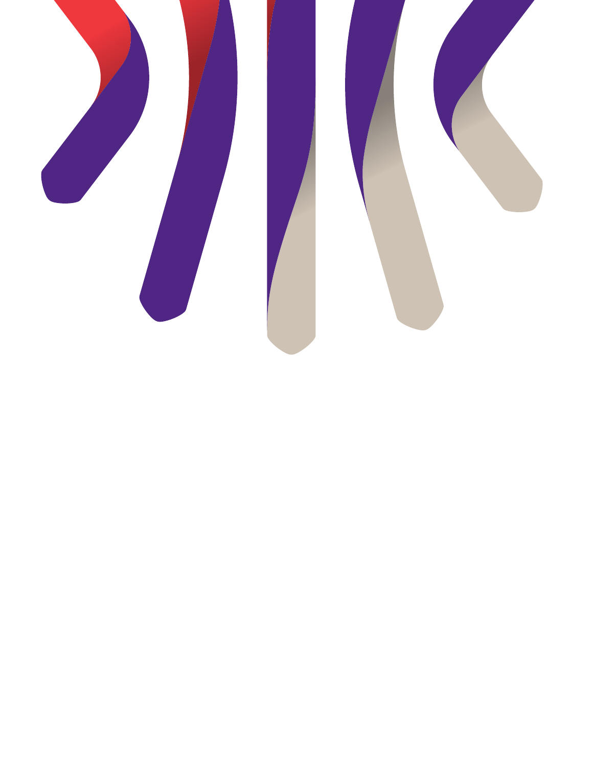